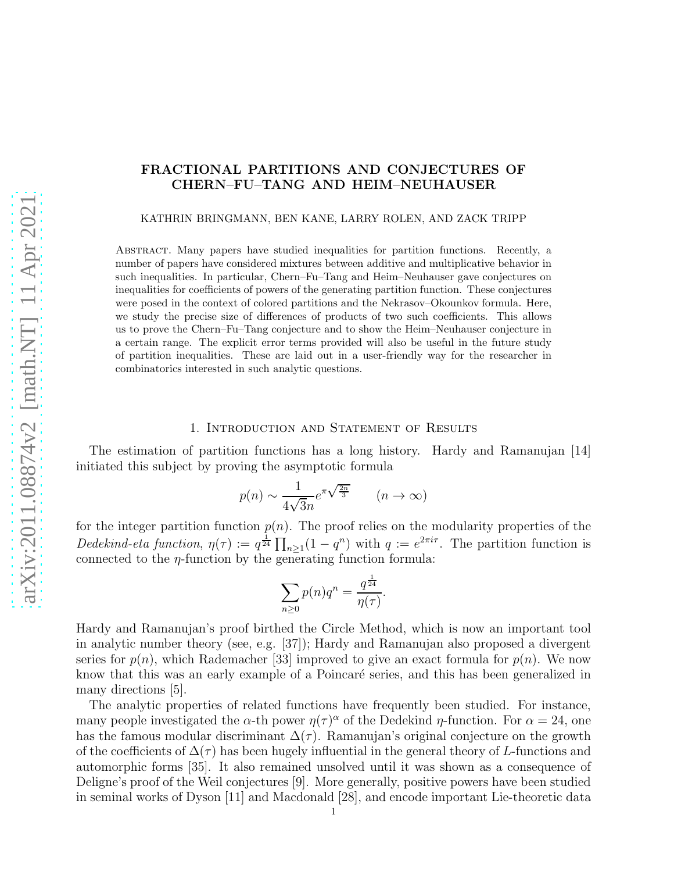KATHRIN BRINGMANN, BEN KANE, LARRY ROLEN, AND ZACK TRIPP

Abstract. Many papers have studied inequalities for partition functions. Recently, a number of papers have considered mixtures between additive and multiplicative behavior in such inequalities. In particular, Chern–Fu–Tang and Heim–Neuhauser gave conjectures on inequalities for coefficients of powers of the generating partition function. These conjectures were posed in the context of colored partitions and the Nekrasov–Okounkov formula. Here, we study the precise size of differences of products of two such coefficients. This allows us to prove the Chern–Fu–Tang conjecture and to show the Heim–Neuhauser conjecture in a certain range. The explicit error terms provided will also be useful in the future study of partition inequalities. These are laid out in a user-friendly way for the researcher in combinatorics interested in such analytic questions.

#### 1. Introduction and Statement of Results

The estimation of partition functions has a long history. Hardy and Ramanujan [14] initiated this subject by proving the asymptotic formula

$$
p(n) \sim \frac{1}{4\sqrt{3}n} e^{\pi \sqrt{\frac{2n}{3}}} \qquad (n \to \infty)
$$

for the integer partition function  $p(n)$ . The proof relies on the modularity properties of the Dedekind-eta function,  $\eta(\tau) := q^{\frac{1}{24}} \prod_{n \geq 1} (1 - q^n)$  with  $q := e^{2\pi i \tau}$ . The partition function is connected to the  $\eta$ -function by the generating function formula:

$$
\sum_{n\geq 0} p(n)q^n = \frac{q^{\frac{1}{24}}}{\eta(\tau)}.
$$

Hardy and Ramanujan's proof birthed the Circle Method, which is now an important tool in analytic number theory (see, e.g. [37]); Hardy and Ramanujan also proposed a divergent series for  $p(n)$ , which Rademacher [33] improved to give an exact formula for  $p(n)$ . We now know that this was an early example of a Poincaré series, and this has been generalized in many directions [5].

The analytic properties of related functions have frequently been studied. For instance, many people investigated the  $\alpha$ -th power  $\eta(\tau)^\alpha$  of the Dedekind  $\eta$ -function. For  $\alpha = 24$ , one has the famous modular discriminant  $\Delta(\tau)$ . Ramanujan's original conjecture on the growth of the coefficients of  $\Delta(\tau)$  has been hugely influential in the general theory of L-functions and automorphic forms [35]. It also remained unsolved until it was shown as a consequence of Deligne's proof of the Weil conjectures [9]. More generally, positive powers have been studied in seminal works of Dyson [11] and Macdonald [28], and encode important Lie-theoretic data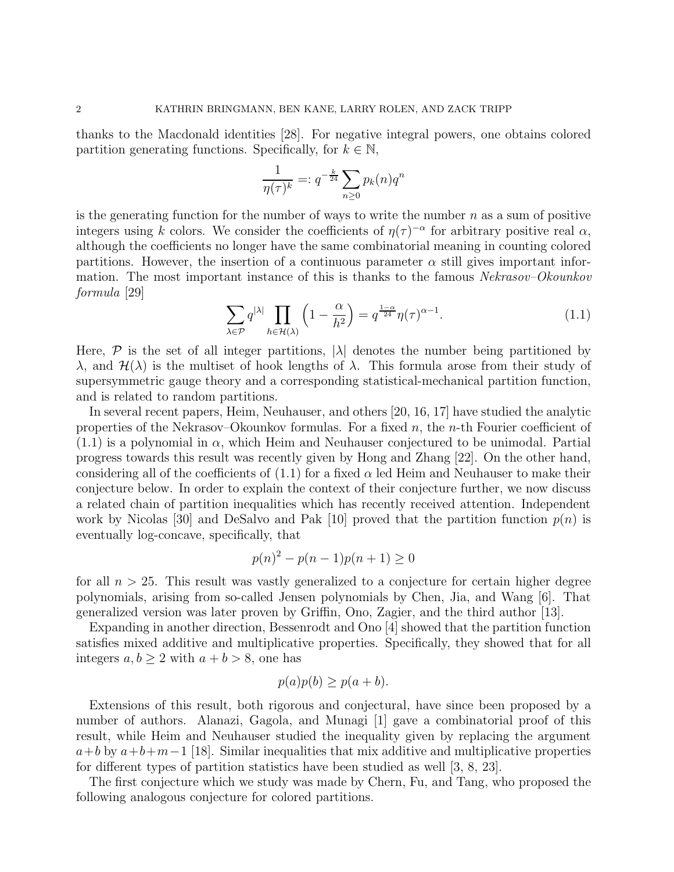thanks to the Macdonald identities [28]. For negative integral powers, one obtains colored partition generating functions. Specifically, for  $k \in \mathbb{N}$ ,

$$
\frac{1}{\eta(\tau)^k} =: q^{-\frac{k}{24}} \sum_{n \ge 0} p_k(n) q^n
$$

is the generating function for the number of ways to write the number  $n$  as a sum of positive integers using k colors. We consider the coefficients of  $\eta(\tau)^{-\alpha}$  for arbitrary positive real  $\alpha$ , although the coefficients no longer have the same combinatorial meaning in counting colored partitions. However, the insertion of a continuous parameter  $\alpha$  still gives important information. The most important instance of this is thanks to the famous Nekrasov–Okounkov formula [29]

$$
\sum_{\lambda \in \mathcal{P}} q^{|\lambda|} \prod_{h \in \mathcal{H}(\lambda)} \left( 1 - \frac{\alpha}{h^2} \right) = q^{\frac{1-\alpha}{24}} \eta(\tau)^{\alpha - 1}.
$$
 (1.1)

Here,  $\mathcal P$  is the set of all integer partitions,  $|\lambda|$  denotes the number being partitioned by λ, and  $\mathcal{H}(\lambda)$  is the multiset of hook lengths of λ. This formula arose from their study of supersymmetric gauge theory and a corresponding statistical-mechanical partition function, and is related to random partitions.

In several recent papers, Heim, Neuhauser, and others [20, 16, 17] have studied the analytic properties of the Nekrasov–Okounkov formulas. For a fixed  $n$ , the  $n$ -th Fourier coefficient of  $(1.1)$  is a polynomial in  $\alpha$ , which Heim and Neuhauser conjectured to be unimodal. Partial progress towards this result was recently given by Hong and Zhang [22]. On the other hand, considering all of the coefficients of  $(1.1)$  for a fixed  $\alpha$  led Heim and Neuhauser to make their conjecture below. In order to explain the context of their conjecture further, we now discuss a related chain of partition inequalities which has recently received attention. Independent work by Nicolas [30] and DeSalvo and Pak [10] proved that the partition function  $p(n)$  is eventually log-concave, specifically, that

$$
p(n)^{2} - p(n-1)p(n+1) \ge 0
$$

for all  $n > 25$ . This result was vastly generalized to a conjecture for certain higher degree polynomials, arising from so-called Jensen polynomials by Chen, Jia, and Wang [6]. That generalized version was later proven by Griffin, Ono, Zagier, and the third author [13].

Expanding in another direction, Bessenrodt and Ono [4] showed that the partition function satisfies mixed additive and multiplicative properties. Specifically, they showed that for all integers  $a, b \geq 2$  with  $a + b > 8$ , one has

$$
p(a)p(b) \ge p(a+b).
$$

Extensions of this result, both rigorous and conjectural, have since been proposed by a number of authors. Alanazi, Gagola, and Munagi [1] gave a combinatorial proof of this result, while Heim and Neuhauser studied the inequality given by replacing the argument  $a+b$  by  $a+b+m-1$  [18]. Similar inequalities that mix additive and multiplicative properties for different types of partition statistics have been studied as well [3, 8, 23].

The first conjecture which we study was made by Chern, Fu, and Tang, who proposed the following analogous conjecture for colored partitions.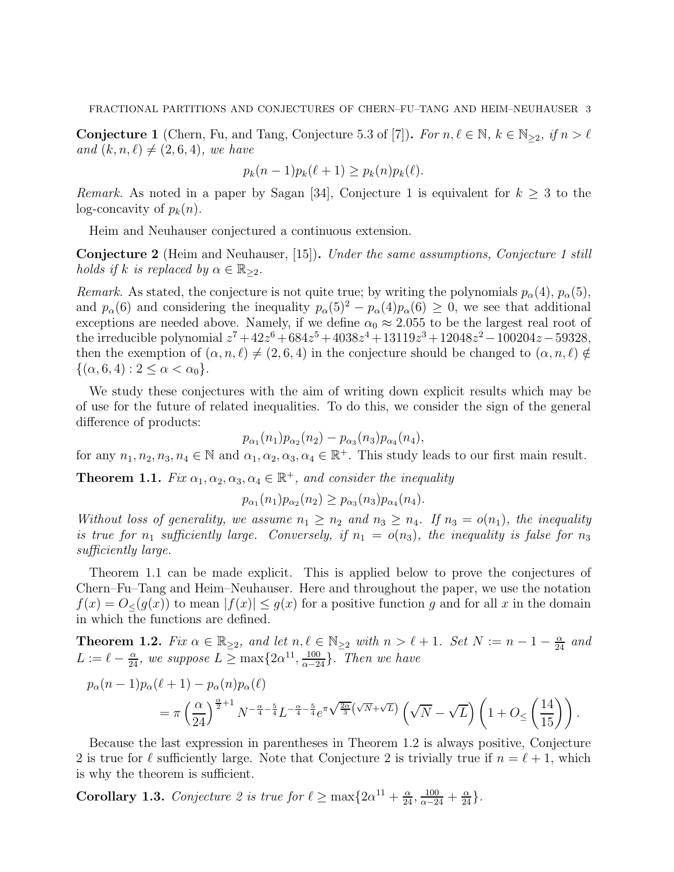**Conjecture 1** (Chern, Fu, and Tang, Conjecture 5.3 of [7]). For  $n, \ell \in \mathbb{N}$ ,  $k \in \mathbb{N}_{\geq 2}$ , if  $n > \ell$ and  $(k, n, \ell) \neq (2, 6, 4)$ , we have

$$
p_k(n-1)p_k(\ell+1) \ge p_k(n)p_k(\ell).
$$

Remark. As noted in a paper by Sagan [34], Conjecture 1 is equivalent for  $k \geq 3$  to the log-concavity of  $p_k(n)$ .

Heim and Neuhauser conjectured a continuous extension.

**Conjecture 2** (Heim and Neuhauser, [15]). Under the same assumptions, Conjecture 1 still holds if k is replaced by  $\alpha \in \mathbb{R}_{\geq 2}$ .

Remark. As stated, the conjecture is not quite true; by writing the polynomials  $p_{\alpha}(4)$ ,  $p_{\alpha}(5)$ , and  $p_{\alpha}(6)$  and considering the inequality  $p_{\alpha}(5)^{2} - p_{\alpha}(4)p_{\alpha}(6) \ge 0$ , we see that additional exceptions are needed above. Namely, if we define  $\alpha_0 \approx 2.055$  to be the largest real root of the irreducible polynomial  $z^7 + 42z^6 + 684z^5 + 4038z^4 + 13119z^3 + 12048z^2 - 100204z - 59328$ then the exemption of  $(\alpha, n, \ell) \neq (2, 6, 4)$  in the conjecture should be changed to  $(\alpha, n, \ell) \notin$  $\{(\alpha, 6, 4) : 2 \leq \alpha < \alpha_0\}.$ 

We study these conjectures with the aim of writing down explicit results which may be of use for the future of related inequalities. To do this, we consider the sign of the general difference of products:

$$
p_{\alpha_1}(n_1)p_{\alpha_2}(n_2)-p_{\alpha_3}(n_3)p_{\alpha_4}(n_4),
$$

for any  $n_1, n_2, n_3, n_4 \in \mathbb{N}$  and  $\alpha_1, \alpha_2, \alpha_3, \alpha_4 \in \mathbb{R}^+$ . This study leads to our first main result.

**Theorem 1.1.** Fix  $\alpha_1, \alpha_2, \alpha_3, \alpha_4 \in \mathbb{R}^+$ , and consider the inequality

$$
p_{\alpha_1}(n_1)p_{\alpha_2}(n_2) \ge p_{\alpha_3}(n_3)p_{\alpha_4}(n_4).
$$

Without loss of generality, we assume  $n_1 \geq n_2$  and  $n_3 \geq n_4$ . If  $n_3 = o(n_1)$ , the inequality is true for  $n_1$  sufficiently large. Conversely, if  $n_1 = o(n_3)$ , the inequality is false for  $n_3$ sufficiently large.

Theorem 1.1 can be made explicit. This is applied below to prove the conjectures of Chern–Fu–Tang and Heim–Neuhauser. Here and throughout the paper, we use the notation  $f(x) = O_{\leq}(g(x))$  to mean  $|f(x)| \leq g(x)$  for a positive function g and for all x in the domain in which the functions are defined.

**Theorem 1.2.** Fix  $\alpha \in \mathbb{R}_{\geq 2}$ , and let  $n, \ell \in \mathbb{N}_{\geq 2}$  with  $n > \ell + 1$ . Set  $N := n - 1 - \frac{\alpha}{24}$  and  $L := \ell - \frac{\alpha}{24}$ , we suppose  $L \ge \max\{2\alpha^{11}, \frac{100}{\alpha - 24}\}$ . Then we have

$$
p_{\alpha}(n-1)p_{\alpha}(\ell+1) - p_{\alpha}(n)p_{\alpha}(\ell)
$$
  
=  $\pi \left(\frac{\alpha}{24}\right)^{\frac{\alpha}{2}+1} N^{-\frac{\alpha}{4}-\frac{5}{4}} L^{-\frac{\alpha}{4}-\frac{5}{4}} e^{\pi \sqrt{\frac{2\alpha}{3}}(\sqrt{N}+\sqrt{L})} \left(\sqrt{N}-\sqrt{L}\right) \left(1+O_{\leq}\left(\frac{14}{15}\right)\right).$ 

Because the last expression in parentheses in Theorem 1.2 is always positive, Conjecture 2 is true for  $\ell$  sufficiently large. Note that Conjecture 2 is trivially true if  $n = \ell + 1$ , which is why the theorem is sufficient.

**Corollary 1.3.** Conjecture 2 is true for  $\ell \ge \max\{2\alpha^{11} + \frac{\alpha}{24}, \frac{100}{\alpha - 24} + \frac{\alpha}{24}\}.$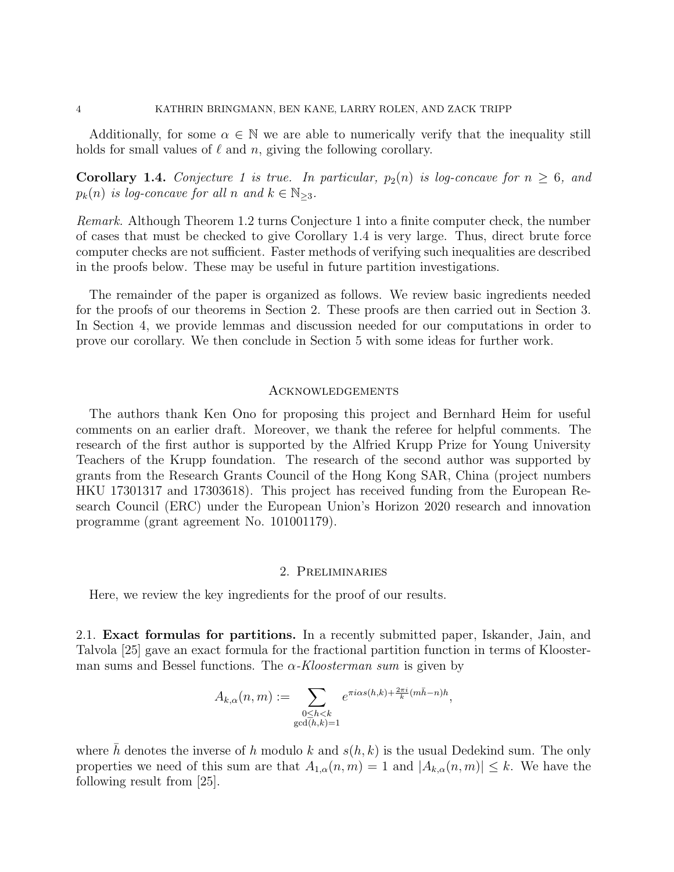Additionally, for some  $\alpha \in \mathbb{N}$  we are able to numerically verify that the inequality still holds for small values of  $\ell$  and n, giving the following corollary.

**Corollary 1.4.** Conjecture 1 is true. In particular,  $p_2(n)$  is log-concave for  $n \geq 6$ , and  $p_k(n)$  is log-concave for all n and  $k \in \mathbb{N}_{\geq 3}$ .

Remark. Although Theorem 1.2 turns Conjecture 1 into a finite computer check, the number of cases that must be checked to give Corollary 1.4 is very large. Thus, direct brute force computer checks are not sufficient. Faster methods of verifying such inequalities are described in the proofs below. These may be useful in future partition investigations.

The remainder of the paper is organized as follows. We review basic ingredients needed for the proofs of our theorems in Section 2. These proofs are then carried out in Section 3. In Section 4, we provide lemmas and discussion needed for our computations in order to prove our corollary. We then conclude in Section 5 with some ideas for further work.

#### Acknowledgements

The authors thank Ken Ono for proposing this project and Bernhard Heim for useful comments on an earlier draft. Moreover, we thank the referee for helpful comments. The research of the first author is supported by the Alfried Krupp Prize for Young University Teachers of the Krupp foundation. The research of the second author was supported by grants from the Research Grants Council of the Hong Kong SAR, China (project numbers HKU 17301317 and 17303618). This project has received funding from the European Research Council (ERC) under the European Union's Horizon 2020 research and innovation programme (grant agreement No. 101001179).

## 2. Preliminaries

Here, we review the key ingredients for the proof of our results.

2.1. Exact formulas for partitions. In a recently submitted paper, Iskander, Jain, and Talvola [25] gave an exact formula for the fractional partition function in terms of Kloosterman sums and Bessel functions. The  $\alpha$ -Kloosterman sum is given by

$$
A_{k,\alpha}(n,m) := \sum_{\substack{0 \le h < k \\ \gcd(h,k)=1}} e^{\pi i \alpha s(h,k) + \frac{2\pi i}{k} (m\bar{h} - n)h},
$$

where h denotes the inverse of h modulo k and  $s(h, k)$  is the usual Dedekind sum. The only properties we need of this sum are that  $A_{1,\alpha}(n,m) = 1$  and  $|A_{k,\alpha}(n,m)| \leq k$ . We have the following result from [25].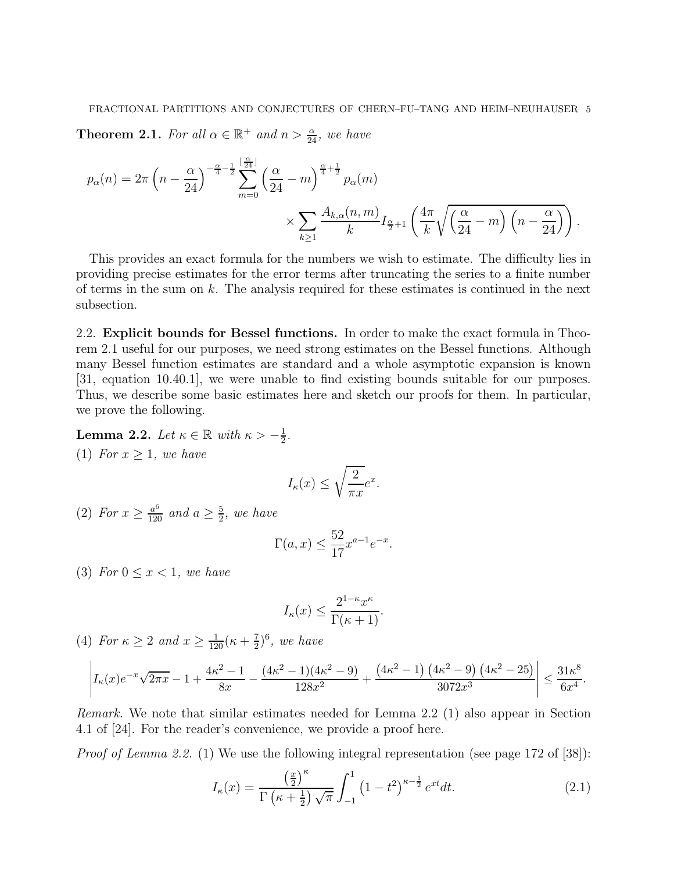**Theorem 2.1.** For all  $\alpha \in \mathbb{R}^+$  and  $n > \frac{\alpha}{24}$ , we have

$$
p_{\alpha}(n) = 2\pi \left(n - \frac{\alpha}{24}\right)^{-\frac{\alpha}{4} - \frac{1}{2}} \sum_{m=0}^{\lfloor \frac{\alpha}{24} \rfloor} \left(\frac{\alpha}{24} - m\right)^{\frac{\alpha}{4} + \frac{1}{2}} p_{\alpha}(m)
$$

$$
\times \sum_{k \ge 1} \frac{A_{k,\alpha}(n,m)}{k} I_{\frac{\alpha}{2}+1} \left(\frac{4\pi}{k} \sqrt{\left(\frac{\alpha}{24} - m\right) \left(n - \frac{\alpha}{24}\right)}\right).
$$

This provides an exact formula for the numbers we wish to estimate. The difficulty lies in providing precise estimates for the error terms after truncating the series to a finite number of terms in the sum on  $k$ . The analysis required for these estimates is continued in the next subsection.

2.2. Explicit bounds for Bessel functions. In order to make the exact formula in Theorem 2.1 useful for our purposes, we need strong estimates on the Bessel functions. Although many Bessel function estimates are standard and a whole asymptotic expansion is known [31, equation 10.40.1], we were unable to find existing bounds suitable for our purposes. Thus, we describe some basic estimates here and sketch our proofs for them. In particular, we prove the following.

**Lemma 2.2.** Let  $\kappa \in \mathbb{R}$  with  $\kappa > -\frac{1}{2}$  $\frac{1}{2}$ . (1) For  $x > 1$ , we have

$$
I_{\kappa}(x) \le \sqrt{\frac{2}{\pi x}}e^x.
$$

(2) For  $x \ge \frac{a^6}{120}$  and  $a \ge \frac{5}{2}$  $\frac{5}{2}$ , we have

$$
\Gamma(a,x) \le \frac{52}{17} x^{a-1} e^{-x}.
$$

(3) For  $0 \leq x < 1$ , we have

$$
I_{\kappa}(x) \le \frac{2^{1-\kappa}x^{\kappa}}{\Gamma(\kappa+1)}.
$$

(4) For  $\kappa \ge 2$  and  $x \ge \frac{1}{120}(\kappa + \frac{7}{2})$  $(\frac{7}{2})^6$ , we have

$$
\left| I_{\kappa}(x)e^{-x}\sqrt{2\pi x} - 1 + \frac{4\kappa^2 - 1}{8x} - \frac{(4\kappa^2 - 1)(4\kappa^2 - 9)}{128x^2} + \frac{(4\kappa^2 - 1)(4\kappa^2 - 9)(4\kappa^2 - 25)}{3072x^3} \right| \le \frac{31\kappa^8}{6x^4}.
$$

Remark. We note that similar estimates needed for Lemma 2.2 (1) also appear in Section 4.1 of [24]. For the reader's convenience, we provide a proof here.

*Proof of Lemma 2.2.* (1) We use the following integral representation (see page 172 of [38]):

$$
I_{\kappa}(x) = \frac{\left(\frac{x}{2}\right)^{\kappa}}{\Gamma\left(\kappa + \frac{1}{2}\right)\sqrt{\pi}} \int_{-1}^{1} \left(1 - t^2\right)^{\kappa - \frac{1}{2}} e^{xt} dt. \tag{2.1}
$$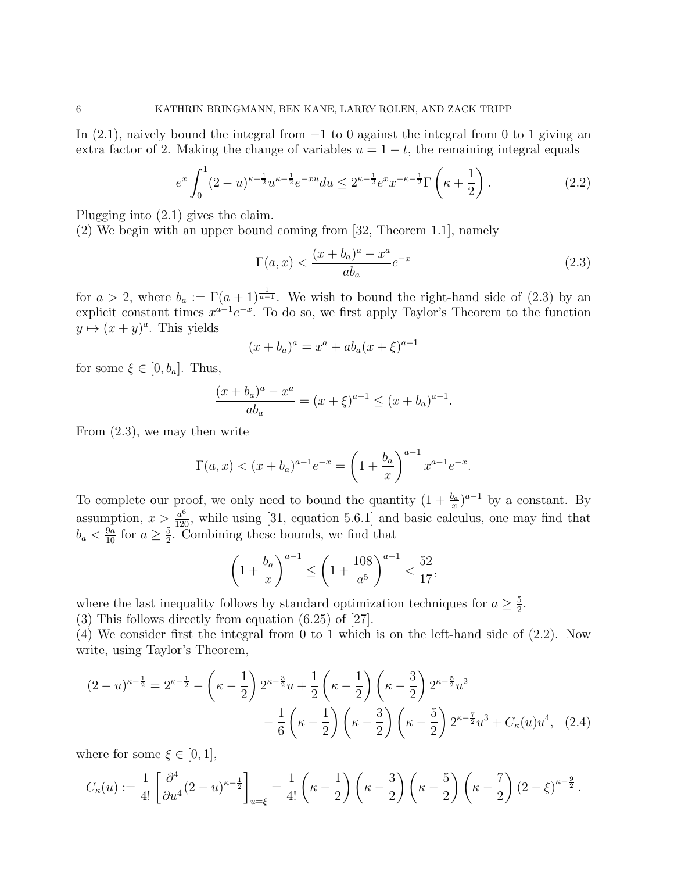In  $(2.1)$ , naively bound the integral from  $-1$  to 0 against the integral from 0 to 1 giving an extra factor of 2. Making the change of variables  $u = 1 - t$ , the remaining integral equals

$$
e^x \int_0^1 (2-u)^{\kappa - \frac{1}{2}} u^{\kappa - \frac{1}{2}} e^{-xu} du \le 2^{\kappa - \frac{1}{2}} e^x x^{-\kappa - \frac{1}{2}} \Gamma\left(\kappa + \frac{1}{2}\right). \tag{2.2}
$$

Plugging into (2.1) gives the claim.

(2) We begin with an upper bound coming from [32, Theorem 1.1], namely

$$
\Gamma(a,x) < \frac{(x+b_a)^a - x^a}{ab_a} e^{-x} \tag{2.3}
$$

for  $a > 2$ , where  $b_a := \Gamma(a+1)^{\frac{1}{a-1}}$ . We wish to bound the right-hand side of (2.3) by an explicit constant times  $x^{a-1}e^{-x}$ . To do so, we first apply Taylor's Theorem to the function  $y \mapsto (x + y)^a$ . This yields

$$
(x + b_a)^a = x^a + ab_a (x + \xi)^{a-1}
$$

for some  $\xi \in [0, b_a]$ . Thus,

$$
\frac{(x+b_a)^a - x^a}{ab_a} = (x+\xi)^{a-1} \le (x+b_a)^{a-1}.
$$

From (2.3), we may then write

$$
\Gamma(a, x) < (x + b_a)^{a-1} e^{-x} = \left(1 + \frac{b_a}{x}\right)^{a-1} x^{a-1} e^{-x}.
$$

To complete our proof, we only need to bound the quantity  $(1 + \frac{b_a}{x})^{a-1}$  by a constant. By assumption,  $x > \frac{a^6}{120}$ , while using [31, equation 5.6.1] and basic calculus, one may find that  $b_a < \frac{9a}{10}$  for  $a \geq \frac{5}{2}$  $\frac{5}{2}$ . Combining these bounds, we find that

$$
\left(1 + \frac{b_a}{x}\right)^{a-1} \le \left(1 + \frac{108}{a^5}\right)^{a-1} < \frac{52}{17},
$$

where the last inequality follows by standard optimization techniques for  $a \geq \frac{5}{2}$  $\frac{5}{2}$ .

(3) This follows directly from equation (6.25) of [27].

(4) We consider first the integral from 0 to 1 which is on the left-hand side of (2.2). Now write, using Taylor's Theorem,

$$
(2-u)^{\kappa-\frac{1}{2}} = 2^{\kappa-\frac{1}{2}} - \left(\kappa - \frac{1}{2}\right) 2^{\kappa-\frac{3}{2}} u + \frac{1}{2} \left(\kappa - \frac{1}{2}\right) \left(\kappa - \frac{3}{2}\right) 2^{\kappa-\frac{5}{2}} u^2
$$

$$
- \frac{1}{6} \left(\kappa - \frac{1}{2}\right) \left(\kappa - \frac{3}{2}\right) \left(\kappa - \frac{5}{2}\right) 2^{\kappa-\frac{7}{2}} u^3 + C_{\kappa}(u) u^4, \quad (2.4)
$$

where for some  $\xi \in [0,1],$ 

$$
C_{\kappa}(u) := \frac{1}{4!} \left[ \frac{\partial^4}{\partial u^4} (2-u)^{\kappa-\frac{1}{2}} \right]_{u=\xi} = \frac{1}{4!} \left( \kappa - \frac{1}{2} \right) \left( \kappa - \frac{3}{2} \right) \left( \kappa - \frac{5}{2} \right) \left( \kappa - \frac{7}{2} \right) (2-\xi)^{\kappa-\frac{9}{2}}.
$$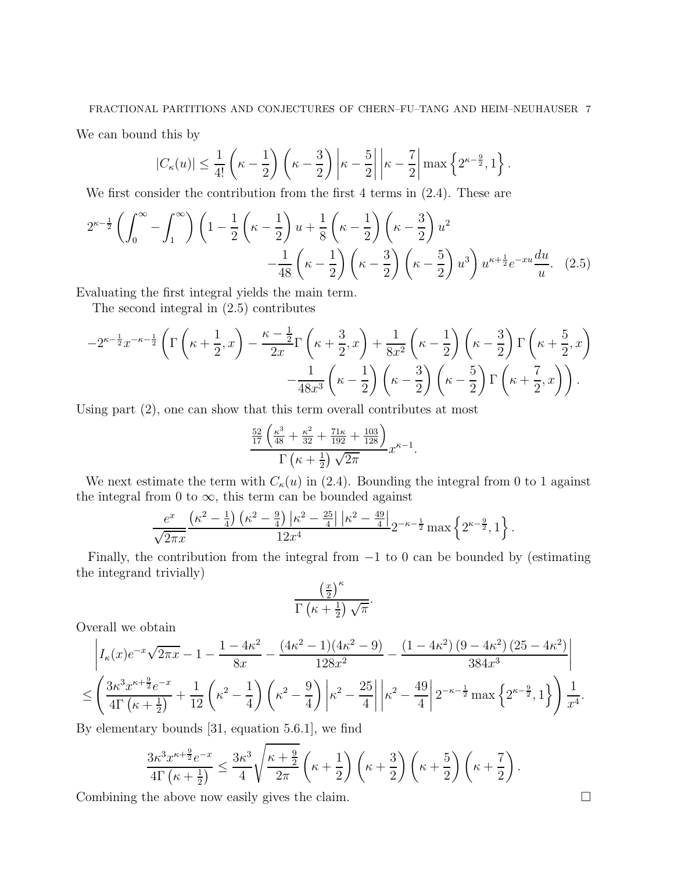We can bound this by

$$
|C_{\kappa}(u)| \leq \frac{1}{4!} \left(\kappa - \frac{1}{2}\right) \left(\kappa - \frac{3}{2}\right) \left|\kappa - \frac{5}{2}\right| \left|\kappa - \frac{7}{2}\right| \max\left\{2^{\kappa - \frac{9}{2}}, 1\right\}.
$$

We first consider the contribution from the first 4 terms in  $(2.4)$ . These are

$$
2^{\kappa - \frac{1}{2}} \left( \int_0^\infty - \int_1^\infty \right) \left( 1 - \frac{1}{2} \left( \kappa - \frac{1}{2} \right) u + \frac{1}{8} \left( \kappa - \frac{1}{2} \right) \left( \kappa - \frac{3}{2} \right) u^2 - \frac{1}{48} \left( \kappa - \frac{1}{2} \right) \left( \kappa - \frac{3}{2} \right) \left( \kappa - \frac{3}{2} \right) \left( \kappa - \frac{5}{2} \right) u^3 \right) u^{\kappa + \frac{1}{2}} e^{-xu} \frac{du}{u}.
$$
 (2.5)

Evaluating the first integral yields the main term.

The second integral in (2.5) contributes

$$
-2^{\kappa-\frac{1}{2}}x^{-\kappa-\frac{1}{2}}\left(\Gamma\left(\kappa+\frac{1}{2},x\right)-\frac{\kappa-\frac{1}{2}}{2x}\Gamma\left(\kappa+\frac{3}{2},x\right)+\frac{1}{8x^2}\left(\kappa-\frac{1}{2}\right)\left(\kappa-\frac{3}{2}\right)\Gamma\left(\kappa+\frac{5}{2},x\right)\right) -\frac{1}{48x^3}\left(\kappa-\frac{1}{2}\right)\left(\kappa-\frac{3}{2}\right)\left(\kappa-\frac{5}{2}\right)\Gamma\left(\kappa+\frac{7}{2},x\right)\right).
$$

Using part (2), one can show that this term overall contributes at most

$$
\frac{\frac{52}{17}\left(\frac{\kappa^3}{48} + \frac{\kappa^2}{32} + \frac{71\kappa}{192} + \frac{103}{128}\right)}{\Gamma\left(\kappa + \frac{1}{2}\right)\sqrt{2\pi}}x^{\kappa - 1}.
$$

We next estimate the term with  $C_{\kappa}(u)$  in (2.4). Bounding the integral from 0 to 1 against the integral from 0 to  $\infty$ , this term can be bounded against

$$
\frac{e^x}{\sqrt{2\pi x}} \frac{\left(\kappa^2 - \frac{1}{4}\right) \left(\kappa^2 - \frac{9}{4}\right) \left|\kappa^2 - \frac{25}{4}\right| \left|\kappa^2 - \frac{49}{4}\right|}{12x^4} 2^{-\kappa - \frac{1}{2}} \max\left\{2^{\kappa - \frac{9}{2}}, 1\right\}.
$$

Finally, the contribution from the integral from  $-1$  to 0 can be bounded by (estimating the integrand trivially)

$$
\frac{\left(\frac{x}{2}\right)^{\kappa}}{\Gamma\left(\kappa+\frac{1}{2}\right)\sqrt{\pi}}.
$$

Overall we obtain

$$
\left| I_{\kappa}(x)e^{-x}\sqrt{2\pi x} - 1 - \frac{1 - 4\kappa^2}{8x} - \frac{(4\kappa^2 - 1)(4\kappa^2 - 9)}{128x^2} - \frac{(1 - 4\kappa^2)(9 - 4\kappa^2)(25 - 4\kappa^2)}{384x^3} \right|
$$
  

$$
\leq \left( \frac{3\kappa^3 x^{\kappa + \frac{9}{2}}e^{-x}}{4\Gamma(\kappa + \frac{1}{2})} + \frac{1}{12}\left(\kappa^2 - \frac{1}{4}\right)\left(\kappa^2 - \frac{9}{4}\right) \left|\kappa^2 - \frac{25}{4}\right| \left|\kappa^2 - \frac{49}{4}\right| 2^{-\kappa - \frac{1}{2}} \max\left\{2^{\kappa - \frac{9}{2}}, 1\right\} \right) \frac{1}{x^4}.
$$

By elementary bounds [31, equation 5.6.1], we find

$$
\frac{3\kappa^3 x^{\kappa+\frac{9}{2}}e^{-x}}{4\Gamma(\kappa+\frac{1}{2})}\leq \frac{3\kappa^3}{4}\sqrt{\frac{\kappa+\frac{9}{2}}{2\pi}}\left(\kappa+\frac{1}{2}\right)\left(\kappa+\frac{3}{2}\right)\left(\kappa+\frac{5}{2}\right)\left(\kappa+\frac{7}{2}\right).
$$

Combining the above now easily gives the claim.  $\Box$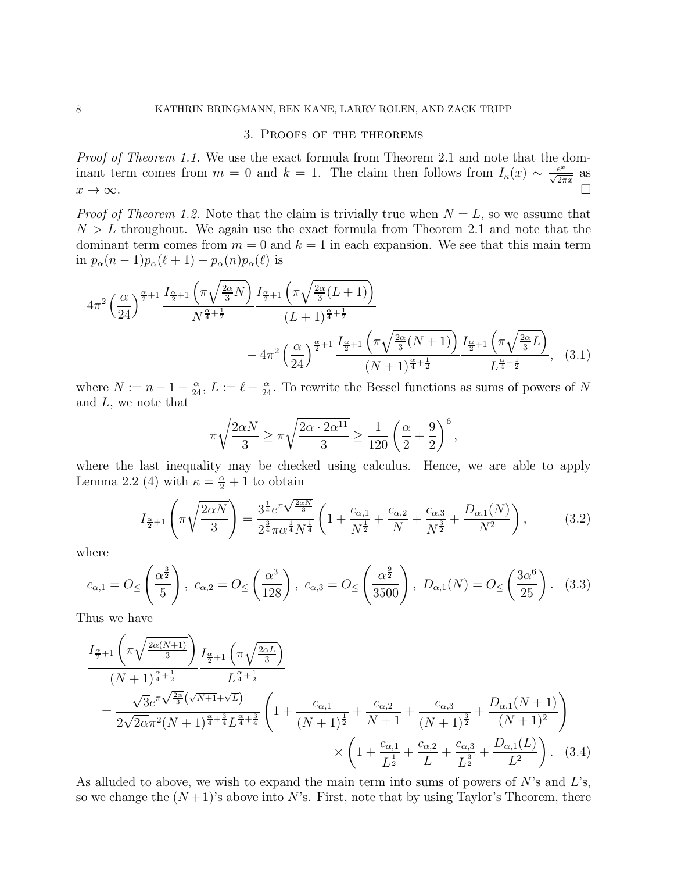#### 3. Proofs of the theorems

Proof of Theorem 1.1. We use the exact formula from Theorem 2.1 and note that the dominant term comes from  $m = 0$  and  $k = 1$ . The claim then follows from  $I_{\kappa}(x) \sim \frac{e^x}{\sqrt{2\pi}}$  $\frac{e^x}{\sqrt{2\pi x}}$  as  $x \to \infty$ .

*Proof of Theorem 1.2.* Note that the claim is trivially true when  $N = L$ , so we assume that  $N > L$  throughout. We again use the exact formula from Theorem 2.1 and note that the dominant term comes from  $m = 0$  and  $k = 1$  in each expansion. We see that this main term in  $p_{\alpha}(n-1)p_{\alpha}(\ell+1) - p_{\alpha}(n)p_{\alpha}(\ell)$  is

$$
4\pi^{2}\left(\frac{\alpha}{24}\right)^{\frac{\alpha}{2}+1}\frac{I_{\frac{\alpha}{2}+1}\left(\pi\sqrt{\frac{2\alpha}{3}N}\right)}{N^{\frac{\alpha}{4}+\frac{1}{2}}}\frac{I_{\frac{\alpha}{2}+1}\left(\pi\sqrt{\frac{2\alpha}{3}(L+1)}\right)}{(L+1)^{\frac{\alpha}{4}+\frac{1}{2}}}
$$

$$
-4\pi^{2}\left(\frac{\alpha}{24}\right)^{\frac{\alpha}{2}+1}\frac{I_{\frac{\alpha}{2}+1}\left(\pi\sqrt{\frac{2\alpha}{3}(N+1)}\right)}{(N+1)^{\frac{\alpha}{4}+\frac{1}{2}}}\frac{I_{\frac{\alpha}{2}+1}\left(\pi\sqrt{\frac{2\alpha}{3}L}\right)}{L^{\frac{\alpha}{4}+\frac{1}{2}}},\quad(3.1)
$$

where  $N := n - 1 - \frac{\alpha}{24}$ ,  $L := \ell - \frac{\alpha}{24}$ . To rewrite the Bessel functions as sums of powers of N and L, we note that

$$
\pi \sqrt{\frac{2\alpha N}{3}} \ge \pi \sqrt{\frac{2\alpha \cdot 2\alpha^{11}}{3}} \ge \frac{1}{120} \left(\frac{\alpha}{2} + \frac{9}{2}\right)^6,
$$

where the last inequality may be checked using calculus. Hence, we are able to apply Lemma 2.2 (4) with  $\kappa = \frac{\alpha}{2} + 1$  to obtain

$$
I_{\frac{\alpha}{2}+1}\left(\pi\sqrt{\frac{2\alpha N}{3}}\right) = \frac{3^{\frac{1}{4}}e^{\pi\sqrt{\frac{2\alpha N}{3}}}}{2^{\frac{3}{4}}\pi\alpha^{\frac{1}{4}}N^{\frac{1}{4}}}\left(1 + \frac{c_{\alpha,1}}{N^{\frac{1}{2}}} + \frac{c_{\alpha,2}}{N} + \frac{c_{\alpha,3}}{N^{\frac{3}{2}}} + \frac{D_{\alpha,1}(N)}{N^2}\right),\tag{3.2}
$$

where

$$
c_{\alpha,1} = O_{\leq}\left(\frac{\alpha^{\frac{3}{2}}}{5}\right), \ c_{\alpha,2} = O_{\leq}\left(\frac{\alpha^3}{128}\right), \ c_{\alpha,3} = O_{\leq}\left(\frac{\alpha^{\frac{9}{2}}}{3500}\right), \ D_{\alpha,1}(N) = O_{\leq}\left(\frac{3\alpha^6}{25}\right). \tag{3.3}
$$

Thus we have

$$
\frac{I_{\frac{\alpha}{2}+1}\left(\pi\sqrt{\frac{2\alpha(N+1)}{3}}\right)}{(N+1)^{\frac{\alpha}{4}+\frac{1}{2}}}\frac{I_{\frac{\alpha}{2}+1}\left(\pi\sqrt{\frac{2\alpha L}{3}}\right)}{L^{\frac{\alpha}{4}+\frac{1}{2}}}
$$
\n
$$
=\frac{\sqrt{3}e^{\pi\sqrt{\frac{2\alpha}{3}}(\sqrt{N+1}+\sqrt{L})}}{2\sqrt{2\alpha}\pi^{2}(N+1)^{\frac{\alpha}{4}+\frac{3}{4}}L^{\frac{\alpha}{4}+\frac{3}{4}}}\left(1+\frac{c_{\alpha,1}}{(N+1)^{\frac{1}{2}}}+\frac{c_{\alpha,2}}{N+1}+\frac{c_{\alpha,3}}{(N+1)^{\frac{3}{2}}}+\frac{D_{\alpha,1}(N+1)}{(N+1)^{2}}\right)
$$
\n
$$
\times\left(1+\frac{c_{\alpha,1}}{L^{\frac{1}{2}}}+\frac{c_{\alpha,2}}{L}+\frac{c_{\alpha,3}}{L^{\frac{3}{2}}}+\frac{D_{\alpha,1}(L)}{L^{2}}\right). \quad (3.4)
$$

As alluded to above, we wish to expand the main term into sums of powers of  $N$ 's and  $L$ 's, so we change the  $(N+1)$ 's above into N's. First, note that by using Taylor's Theorem, there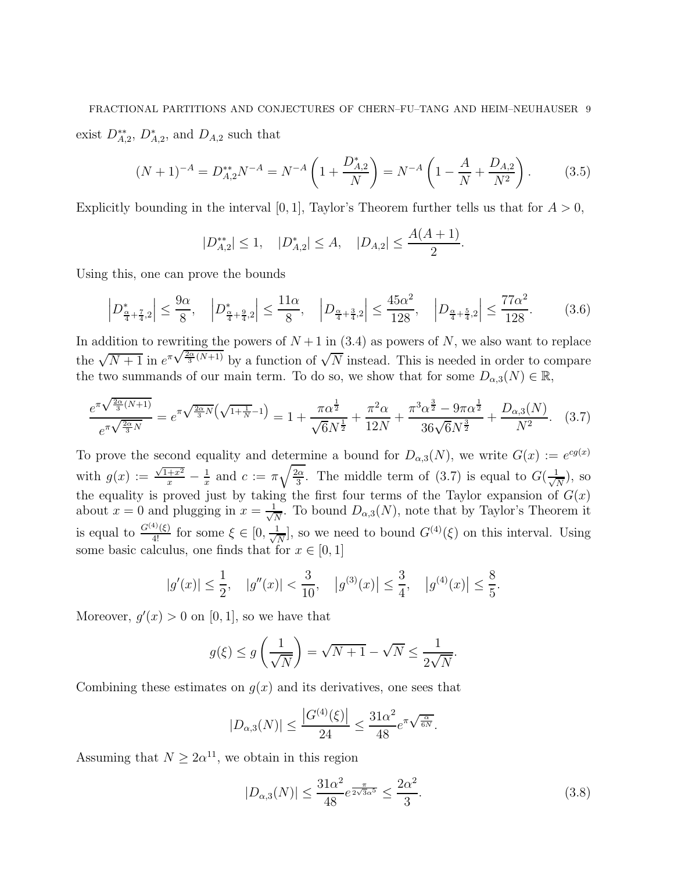# FRACTIONAL PARTITIONS AND CONJECTURES OF CHERN–FU–TANG AND HEIM–NEUHAUSER 9 exist  $D_{A,2}^{**}$ ,  $D_{A,2}^{*}$ , and  $D_{A,2}$  such that

$$
(N+1)^{-A} = D_{A,2}^{**} N^{-A} = N^{-A} \left( 1 + \frac{D_{A,2}^*}{N} \right) = N^{-A} \left( 1 - \frac{A}{N} + \frac{D_{A,2}}{N^2} \right). \tag{3.5}
$$

Explicitly bounding in the interval [0, 1], Taylor's Theorem further tells us that for  $A > 0$ ,

$$
|D_{A,2}^{**}| \le 1, \quad |D_{A,2}^{*}| \le A, \quad |D_{A,2}| \le \frac{A(A+1)}{2}.
$$

Using this, one can prove the bounds

$$
\left| D_{\frac{\alpha}{4} + \frac{7}{4}, 2}^* \right| \le \frac{9\alpha}{8}, \quad \left| D_{\frac{\alpha}{4} + \frac{9}{4}, 2}^* \right| \le \frac{11\alpha}{8}, \quad \left| D_{\frac{\alpha}{4} + \frac{3}{4}, 2} \right| \le \frac{45\alpha^2}{128}, \quad \left| D_{\frac{\alpha}{4} + \frac{5}{4}, 2} \right| \le \frac{77\alpha^2}{128}.\tag{3.6}
$$

In addition to rewriting the powers of  $N+1$  in (3.4) as powers of N, we also want to replace the  $\sqrt{N+1}$  in  $e^{\pi \sqrt{\frac{2\alpha}{3}(N+1)}}$  by a function of  $\sqrt{N}$  instead. This is needed in order to compare the two summands of our main term. To do so, we show that for some  $D_{\alpha,3}(N) \in \mathbb{R}$ ,

$$
\frac{e^{\pi\sqrt{\frac{2\alpha}{3}(N+1)}}}{e^{\pi\sqrt{\frac{2\alpha}{3}N}}} = e^{\pi\sqrt{\frac{2\alpha}{3}N}\left(\sqrt{1+\frac{1}{N}}-1\right)} = 1 + \frac{\pi\alpha^{\frac{1}{2}}}{\sqrt{6}N^{\frac{1}{2}}} + \frac{\pi^2\alpha}{12N} + \frac{\pi^3\alpha^{\frac{3}{2}}-9\pi\alpha^{\frac{1}{2}}}{36\sqrt{6}N^{\frac{3}{2}}} + \frac{D_{\alpha,3}(N)}{N^2}.
$$
 (3.7)

To prove the second equality and determine a bound for  $D_{\alpha,3}(N)$ , we write  $G(x) := e^{cg(x)}$ with  $g(x) := \frac{\sqrt{1+x^2}}{x} - \frac{1}{x}$  $rac{1}{x}$  and  $c := \pi \sqrt{\frac{2\alpha}{3}}$  $\frac{3\alpha}{3}$ . The middle term of (3.7) is equal to  $G(\frac{1}{\sqrt{2}})$  $\frac{1}{N}$ ), so the equality is proved just by taking the first four terms of the Taylor expansion of  $G(x)$ about  $x = 0$  and plugging in  $x = \frac{1}{\sqrt{2}}$  $\frac{1}{N}$ . To bound  $D_{\alpha,3}(N)$ , note that by Taylor's Theorem it is equal to  $\frac{G^{(4)}(\xi)}{4!}$  for some  $\xi \in [0, \frac{1}{\sqrt{l}}]$  $\frac{1}{N}$ , so we need to bound  $G^{(4)}(\xi)$  on this interval. Using some basic calculus, one finds that for  $x \in [0, 1]$ 

$$
|g'(x)| \le \frac{1}{2}
$$
,  $|g''(x)| < \frac{3}{10}$ ,  $|g^{(3)}(x)| \le \frac{3}{4}$ ,  $|g^{(4)}(x)| \le \frac{8}{5}$ .

Moreover,  $g'(x) > 0$  on [0, 1], so we have that

$$
g(\xi) \le g\left(\frac{1}{\sqrt{N}}\right) = \sqrt{N+1} - \sqrt{N} \le \frac{1}{2\sqrt{N}}.
$$

Combining these estimates on  $g(x)$  and its derivatives, one sees that

$$
|D_{\alpha,3}(N)| \le \frac{|G^{(4)}(\xi)|}{24} \le \frac{31\alpha^2}{48}e^{\pi\sqrt{\frac{\alpha}{6N}}}.
$$

Assuming that  $N \geq 2\alpha^{11}$ , we obtain in this region

$$
|D_{\alpha,3}(N)| \le \frac{31\alpha^2}{48} e^{\frac{\pi}{2\sqrt{3}\alpha^5}} \le \frac{2\alpha^2}{3}.
$$
 (3.8)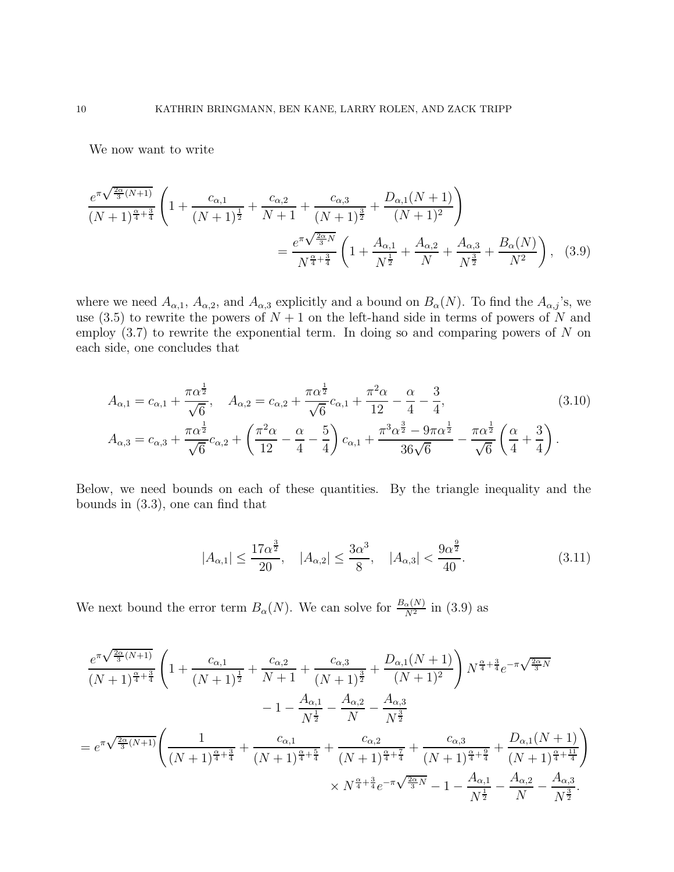We now want to write

$$
\frac{e^{\pi\sqrt{\frac{2\alpha}{3}(N+1)}}}{(N+1)^{\frac{\alpha}{4}+\frac{3}{4}}}\left(1+\frac{c_{\alpha,1}}{(N+1)^{\frac{1}{2}}}+\frac{c_{\alpha,2}}{N+1}+\frac{c_{\alpha,3}}{(N+1)^{\frac{3}{2}}}+\frac{D_{\alpha,1}(N+1)}{(N+1)^{2}}\right)
$$
\n
$$
=\frac{e^{\pi\sqrt{\frac{2\alpha}{3}N}}}{N^{\frac{\alpha}{4}+\frac{3}{4}}}\left(1+\frac{A_{\alpha,1}}{N^{\frac{1}{2}}}+\frac{A_{\alpha,2}}{N}+\frac{A_{\alpha,3}}{N^{\frac{3}{2}}}+\frac{B_{\alpha}(N)}{N^{2}}\right),
$$
(3.9)

where we need  $A_{\alpha,1}$ ,  $A_{\alpha,2}$ , and  $A_{\alpha,3}$  explicitly and a bound on  $B_{\alpha}(N)$ . To find the  $A_{\alpha,j}$ 's, we use (3.5) to rewrite the powers of  $N + 1$  on the left-hand side in terms of powers of N and employ  $(3.7)$  to rewrite the exponential term. In doing so and comparing powers of N on each side, one concludes that

$$
A_{\alpha,1} = c_{\alpha,1} + \frac{\pi \alpha^{\frac{1}{2}}}{\sqrt{6}}, \quad A_{\alpha,2} = c_{\alpha,2} + \frac{\pi \alpha^{\frac{1}{2}}}{\sqrt{6}} c_{\alpha,1} + \frac{\pi^2 \alpha}{12} - \frac{\alpha}{4} - \frac{3}{4},
$$
\n
$$
A_{\alpha,3} = c_{\alpha,3} + \frac{\pi \alpha^{\frac{1}{2}}}{\sqrt{6}} c_{\alpha,2} + \left(\frac{\pi^2 \alpha}{12} - \frac{\alpha}{4} - \frac{5}{4}\right) c_{\alpha,1} + \frac{\pi^3 \alpha^{\frac{3}{2}} - 9\pi \alpha^{\frac{1}{2}}}{36\sqrt{6}} - \frac{\pi \alpha^{\frac{1}{2}}}{\sqrt{6}} \left(\frac{\alpha}{4} + \frac{3}{4}\right).
$$
\n(3.10)

Below, we need bounds on each of these quantities. By the triangle inequality and the bounds in (3.3), one can find that

$$
|A_{\alpha,1}| \le \frac{17\alpha^{\frac{3}{2}}}{20}, \quad |A_{\alpha,2}| \le \frac{3\alpha^3}{8}, \quad |A_{\alpha,3}| < \frac{9\alpha^{\frac{9}{2}}}{40}.
$$
 (3.11)

We next bound the error term  $B_{\alpha}(N)$ . We can solve for  $\frac{B_{\alpha}(N)}{N^2}$  in (3.9) as

$$
\frac{e^{\pi\sqrt{\frac{2\alpha}{3}(N+1)}}}{(N+1)^{\frac{\alpha}{4}+\frac{3}{4}}}\left(1+\frac{c_{\alpha,1}}{(N+1)^{\frac{1}{2}}}+\frac{c_{\alpha,2}}{N+1}+\frac{c_{\alpha,3}}{(N+1)^{\frac{3}{2}}}+\frac{D_{\alpha,1}(N+1)}{(N+1)^2}\right)N^{\frac{\alpha}{4}+\frac{3}{4}}e^{-\pi\sqrt{\frac{2\alpha}{3}N}}\\-1-\frac{A_{\alpha,1}}{N^{\frac{1}{2}}}-\frac{A_{\alpha,2}}{N}-\frac{A_{\alpha,3}}{N^{\frac{3}{2}}}\\=e^{\pi\sqrt{\frac{2\alpha}{3}(N+1)}}\left(\frac{1}{(N+1)^{\frac{\alpha}{4}+\frac{3}{4}}}+\frac{c_{\alpha,1}}{(N+1)^{\frac{\alpha}{4}+\frac{5}{4}}}+\frac{c_{\alpha,2}}{(N+1)^{\frac{\alpha}{4}+\frac{7}{4}}}+\frac{c_{\alpha,3}}{(N+1)^{\frac{\alpha}{4}+\frac{9}{4}}}+\frac{D_{\alpha,1}(N+1)}{(N+1)^{\frac{\alpha}{4}+\frac{9}{4}}}\right)\\ \times N^{\frac{\alpha}{4}+\frac{3}{4}}e^{-\pi\sqrt{\frac{2\alpha}{3}N}}-1-\frac{A_{\alpha,1}}{N^{\frac{1}{2}}}-\frac{A_{\alpha,2}}{N}-\frac{A_{\alpha,3}}{N^{\frac{3}{2}}}.
$$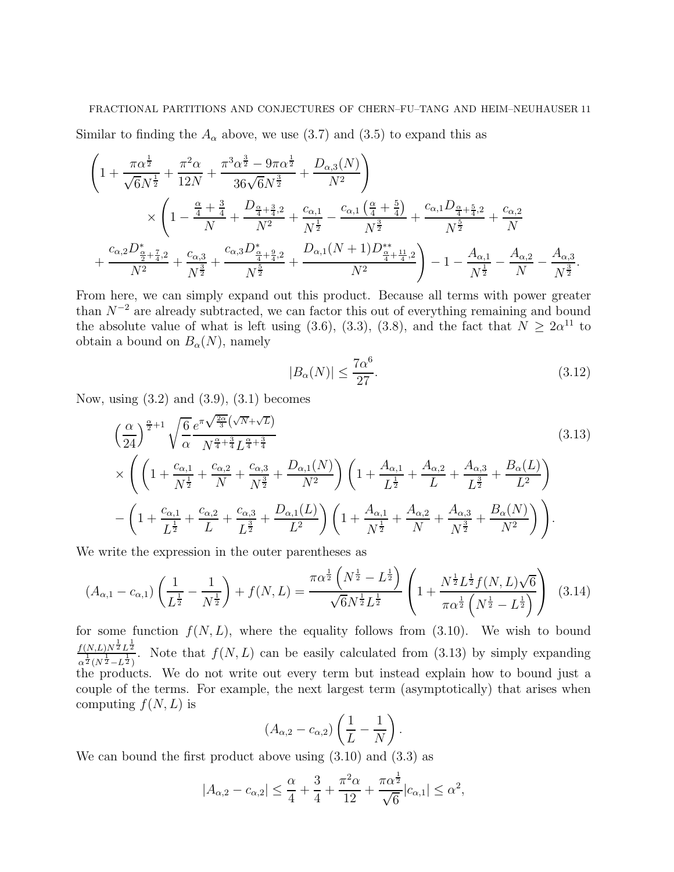Similar to finding the  $A_{\alpha}$  above, we use (3.7) and (3.5) to expand this as

$$
\left(1+\frac{\pi\alpha^{\frac{1}{2}}}{\sqrt{6}N^{\frac{1}{2}}}+\frac{\pi^{2}\alpha}{12N}+\frac{\pi^{3}\alpha^{\frac{3}{2}}-9\pi\alpha^{\frac{1}{2}}}{36\sqrt{6}N^{\frac{3}{2}}}+\frac{D_{\alpha,3}(N)}{N^{2}}\right) \times\left(1-\frac{\frac{\alpha}{4}+\frac{3}{4}}{N}+\frac{D_{\frac{\alpha}{4}+\frac{3}{4},2}}{N^{2}}+\frac{c_{\alpha,1}}{N^{\frac{1}{2}}}-\frac{c_{\alpha,1}\left(\frac{\alpha}{4}+\frac{5}{4}\right)}{N^{\frac{3}{2}}}+\frac{c_{\alpha,1}D_{\frac{\alpha}{4}+\frac{5}{4},2}}{N^{\frac{5}{2}}}+\frac{c_{\alpha,2}}{N}\right) \times \frac{1}{\left(1-\frac{\frac{\alpha}{4}+\frac{3}{4}}{N}+\frac{D_{\frac{\alpha}{4}+\frac{3}{4},2}}{N^{2}}+\frac{c_{\alpha,1}}{N^{\frac{1}{2}}}+\frac{c_{\alpha,1}D_{\frac{\alpha}{4}+\frac{5}{4},2}}{N^{\frac{3}{2}}}+\frac{c_{\alpha,2}D_{\frac{\alpha}{2}+\frac{7}{4},2}}{N^{2}}\right)-1-\frac{A_{\alpha,1}}{N^{\frac{1}{2}}}-\frac{A_{\alpha,2}}{N}-\frac{A_{\alpha,3}}{N^{\frac{3}{2}}}.
$$

From here, we can simply expand out this product. Because all terms with power greater than  $N^{-2}$  are already subtracted, we can factor this out of everything remaining and bound the absolute value of what is left using (3.6), (3.3), (3.8), and the fact that  $N \geq 2\alpha^{11}$  to obtain a bound on  $B_{\alpha}(N)$ , namely

$$
|B_{\alpha}(N)| \le \frac{7\alpha^6}{27}.\tag{3.12}
$$

Now, using  $(3.2)$  and  $(3.9)$ ,  $(3.1)$  becomes

$$
\left(\frac{\alpha}{24}\right)^{\frac{\alpha}{2}+1} \sqrt{\frac{6}{\alpha}} \frac{e^{\pi \sqrt{\frac{2\alpha}{3}}\left(\sqrt{N}+\sqrt{L}\right)}}{N^{\frac{\alpha}{4}+\frac{3}{4}}L^{\frac{\alpha}{4}+\frac{3}{4}}}
$$
\n
$$
\times \left(\left(1+\frac{c_{\alpha,1}}{N^{\frac{1}{2}}}+\frac{c_{\alpha,2}}{N}+\frac{c_{\alpha,3}}{N^{\frac{3}{2}}}+\frac{D_{\alpha,1}(N)}{N^2}\right)\left(1+\frac{A_{\alpha,1}}{L^{\frac{1}{2}}}+\frac{A_{\alpha,2}}{L}+\frac{A_{\alpha,3}}{L^{\frac{3}{2}}}+\frac{B_{\alpha}(L)}{L^2}\right)
$$
\n
$$
-\left(1+\frac{c_{\alpha,1}}{L^{\frac{1}{2}}}+\frac{c_{\alpha,2}}{L}+\frac{c_{\alpha,3}}{L^{\frac{3}{2}}}+\frac{D_{\alpha,1}(L)}{L^2}\right)\left(1+\frac{A_{\alpha,1}}{N^{\frac{1}{2}}}+\frac{A_{\alpha,2}}{N}+\frac{A_{\alpha,3}}{N^{\frac{3}{2}}}+\frac{B_{\alpha}(N)}{N^2}\right)\right).
$$
\n(3.13)

We write the expression in the outer parentheses as

$$
(A_{\alpha,1} - c_{\alpha,1}) \left(\frac{1}{L^{\frac{1}{2}}} - \frac{1}{N^{\frac{1}{2}}}\right) + f(N,L) = \frac{\pi \alpha^{\frac{1}{2}} \left(N^{\frac{1}{2}} - L^{\frac{1}{2}}\right)}{\sqrt{6}N^{\frac{1}{2}} L^{\frac{1}{2}}} \left(1 + \frac{N^{\frac{1}{2}} L^{\frac{1}{2}} f(N,L) \sqrt{6}}{\pi \alpha^{\frac{1}{2}} \left(N^{\frac{1}{2}} - L^{\frac{1}{2}}\right)}\right)
$$
(3.14)

for some function  $f(N, L)$ , where the equality follows from (3.10). We wish to bound  $f(N,L)N^{\frac{1}{2}}L^{\frac{1}{2}}$  $\frac{\sigma^{\frac{1}{2}(N,L)}(N,L)}{\sigma^{\frac{1}{2}(N^{\frac{1}{2}}-L^{\frac{1}{2}})}}$  Note that  $f(N,L)$  can be easily calculated from (3.13) by simply expanding the products. We do not write out every term but instead explain how to bound just a couple of the terms. For example, the next largest term (asymptotically) that arises when computing  $f(N, L)$  is

$$
(A_{\alpha,2}-c_{\alpha,2})\left(\frac{1}{L}-\frac{1}{N}\right).
$$

We can bound the first product above using  $(3.10)$  and  $(3.3)$  as

$$
|A_{\alpha,2} - c_{\alpha,2}| \le \frac{\alpha}{4} + \frac{3}{4} + \frac{\pi^2 \alpha}{12} + \frac{\pi \alpha^{\frac{1}{2}}}{\sqrt{6}} |c_{\alpha,1}| \le \alpha^2,
$$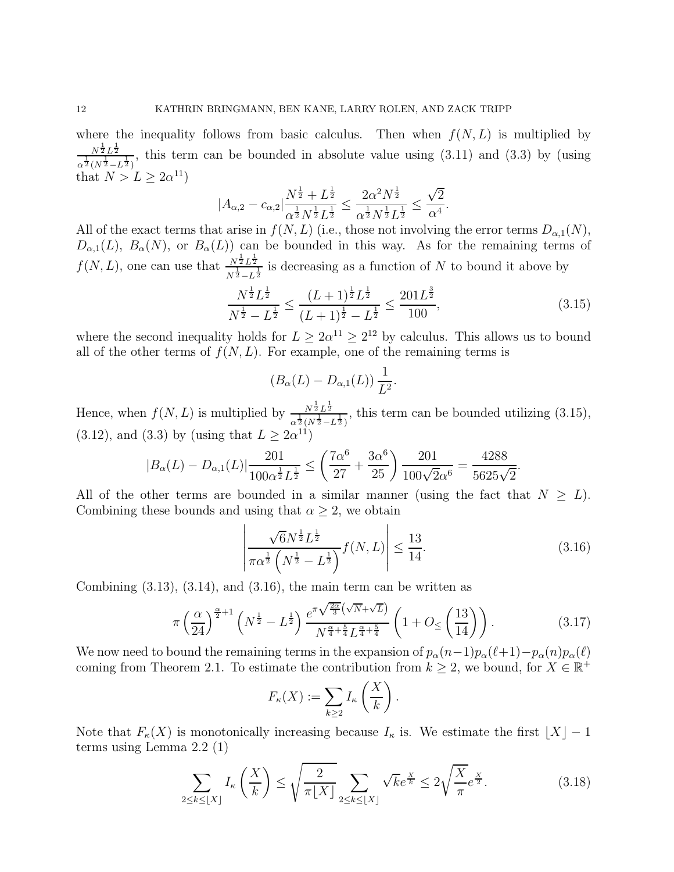where the inequality follows from basic calculus. Then when  $f(N, L)$  is multiplied by  $N^{\frac{1}{2}}L^{\frac{1}{2}}$  $\frac{N^2L^2}{\alpha^2(N^{\frac{1}{2}}-L^{\frac{1}{2}})}$ , this term can be bounded in absolute value using (3.11) and (3.3) by (using that  $N > L \geq 2\alpha^{11}$ )

$$
|A_{\alpha,2}-c_{\alpha,2}|\frac{N^{\frac{1}{2}}+L^{\frac{1}{2}}}{\alpha^{\frac{1}{2}}N^{\frac{1}{2}}L^{\frac{1}{2}}} \leq \frac{2\alpha^2N^{\frac{1}{2}}}{\alpha^{\frac{1}{2}}N^{\frac{1}{2}}L^{\frac{1}{2}}} \leq \frac{\sqrt{2}}{\alpha^4}.
$$

All of the exact terms that arise in  $f(N, L)$  (i.e., those not involving the error terms  $D_{\alpha,1}(N)$ ,  $D_{\alpha,1}(L)$ ,  $B_{\alpha}(N)$ , or  $B_{\alpha}(L)$  can be bounded in this way. As for the remaining terms of  $f(N, L)$ , one can use that  $\frac{N^{\frac{1}{2}}L^{\frac{1}{2}}}{N^{\frac{1}{2}}}$  $\frac{N^2 L^2}{N^{\frac{1}{2}} - L^{\frac{1}{2}}}$  is decreasing as a function of N to bound it above by

$$
\frac{N^{\frac{1}{2}}L^{\frac{1}{2}}}{N^{\frac{1}{2}} - L^{\frac{1}{2}}} \le \frac{(L+1)^{\frac{1}{2}}L^{\frac{1}{2}}}{(L+1)^{\frac{1}{2}} - L^{\frac{1}{2}}} \le \frac{201L^{\frac{3}{2}}}{100},\tag{3.15}
$$

where the second inequality holds for  $L \geq 2\alpha^{11} \geq 2^{12}$  by calculus. This allows us to bound all of the other terms of  $f(N, L)$ . For example, one of the remaining terms is

$$
(B_{\alpha}(L) - D_{\alpha,1}(L)) \frac{1}{L^2}.
$$

Hence, when  $f(N, L)$  is multiplied by  $\frac{N^{\frac{1}{2}}L^{\frac{1}{2}}}{\frac{1}{2}N^{\frac{1}{2}}}$  $\frac{N^2L^2}{\alpha^2(N^{\frac{1}{2}}-L^{\frac{1}{2}})}$ , this term can be bounded utilizing (3.15), (3.12), and (3.3) by (using that  $L \ge 2\alpha^{11}$ )

$$
|B_{\alpha}(L) - D_{\alpha,1}(L)| \frac{201}{100\alpha^{\frac{1}{2}}L^{\frac{1}{2}}} \le \left(\frac{7\alpha^6}{27} + \frac{3\alpha^6}{25}\right) \frac{201}{100\sqrt{2}\alpha^6} = \frac{4288}{5625\sqrt{2}}.
$$

All of the other terms are bounded in a similar manner (using the fact that  $N \geq L$ ). Combining these bounds and using that  $\alpha \geq 2$ , we obtain

$$
\left| \frac{\sqrt{6}N^{\frac{1}{2}}L^{\frac{1}{2}}}{\pi \alpha^{\frac{1}{2}}\left(N^{\frac{1}{2}} - L^{\frac{1}{2}}\right)} f(N, L) \right| \le \frac{13}{14}.
$$
\n(3.16)

Combining  $(3.13)$ ,  $(3.14)$ , and  $(3.16)$ , the main term can be written as

$$
\pi \left(\frac{\alpha}{24}\right)^{\frac{\alpha}{2}+1} \left(N^{\frac{1}{2}} - L^{\frac{1}{2}}\right) \frac{e^{\pi \sqrt{\frac{2\alpha}{3}}\left(\sqrt{N} + \sqrt{L}\right)}}{N^{\frac{\alpha}{4} + \frac{5}{4}} L^{\frac{\alpha}{4} + \frac{5}{4}}}\left(1 + O_{\leq}\left(\frac{13}{14}\right)\right). \tag{3.17}
$$

We now need to bound the remaining terms in the expansion of  $p_{\alpha}(n-1)p_{\alpha}(\ell+1)-p_{\alpha}(n)p_{\alpha}(\ell)$ coming from Theorem 2.1. To estimate the contribution from  $k \geq 2$ , we bound, for  $X \in \mathbb{R}^+$ 

$$
F_{\kappa}(X) := \sum_{k \geq 2} I_{\kappa}\left(\frac{X}{k}\right).
$$

Note that  $F_{\kappa}(X)$  is monotonically increasing because  $I_{\kappa}$  is. We estimate the first  $\lfloor X \rfloor - 1$ terms using Lemma 2.2 (1)

$$
\sum_{2 \le k \le \lfloor X \rfloor} I_{\kappa}\left(\frac{X}{k}\right) \le \sqrt{\frac{2}{\pi \lfloor X \rfloor}} \sum_{2 \le k \le \lfloor X \rfloor} \sqrt{k} e^{\frac{X}{k}} \le 2\sqrt{\frac{X}{\pi}} e^{\frac{X}{2}}.
$$
\n(3.18)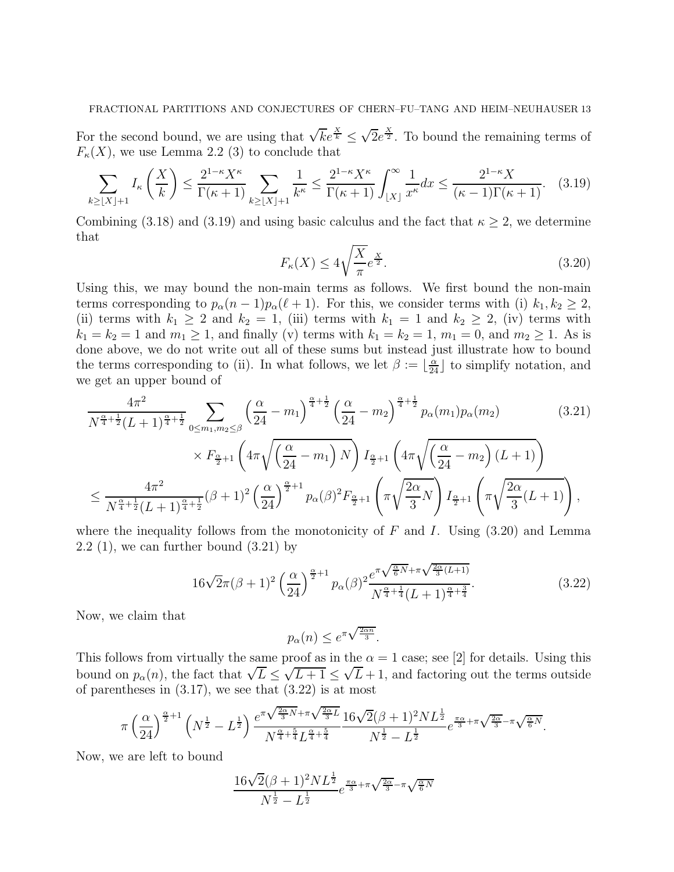For the second bound, we are using that  $\sqrt{k}e^{\frac{\chi}{k}} \leq \sqrt{2}e^{\frac{\chi}{2}}$ . To bound the remaining terms of  $F_{\kappa}(X)$ , we use Lemma 2.2 (3) to conclude that

$$
\sum_{k\geq \lfloor X\rfloor+1} I_{\kappa}\left(\frac{X}{k}\right) \leq \frac{2^{1-\kappa}X^{\kappa}}{\Gamma(\kappa+1)} \sum_{k\geq \lfloor X\rfloor+1} \frac{1}{k^{\kappa}} \leq \frac{2^{1-\kappa}X^{\kappa}}{\Gamma(\kappa+1)} \int_{\lfloor X\rfloor}^{\infty} \frac{1}{x^{\kappa}} dx \leq \frac{2^{1-\kappa}X}{(\kappa-1)\Gamma(\kappa+1)}. \tag{3.19}
$$

Combining (3.18) and (3.19) and using basic calculus and the fact that  $\kappa \geq 2$ , we determine that

$$
F_{\kappa}(X) \le 4\sqrt{\frac{X}{\pi}}e^{\frac{X}{2}}.\tag{3.20}
$$

Using this, we may bound the non-main terms as follows. We first bound the non-main terms corresponding to  $p_{\alpha}(n-1)p_{\alpha}(\ell+1)$ . For this, we consider terms with (i)  $k_1, k_2 \geq 2$ , (ii) terms with  $k_1 \geq 2$  and  $k_2 = 1$ , (iii) terms with  $k_1 = 1$  and  $k_2 \geq 2$ , (iv) terms with  $k_1 = k_2 = 1$  and  $m_1 \geq 1$ , and finally (v) terms with  $k_1 = k_2 = 1$ ,  $m_1 = 0$ , and  $m_2 \geq 1$ . As is done above, we do not write out all of these sums but instead just illustrate how to bound the terms corresponding to (ii). In what follows, we let  $\beta := \lfloor \frac{\alpha}{24} \rfloor$  to simplify notation, and we get an upper bound of

$$
\frac{4\pi^2}{N^{\frac{\alpha}{4}+\frac{1}{2}}(L+1)^{\frac{\alpha}{4}+\frac{1}{2}}} \sum_{0 \le m_1, m_2 \le \beta} \left(\frac{\alpha}{24} - m_1\right)^{\frac{\alpha}{4}+\frac{1}{2}} \left(\frac{\alpha}{24} - m_2\right)^{\frac{\alpha}{4}+\frac{1}{2}} p_\alpha(m_1) p_\alpha(m_2) \times F_{\frac{\alpha}{2}+1} \left(4\pi \sqrt{\left(\frac{\alpha}{24} - m_1\right)N}\right) I_{\frac{\alpha}{2}+1} \left(4\pi \sqrt{\left(\frac{\alpha}{24} - m_2\right)(L+1)}\right) \times F_{\frac{\alpha}{4}+\frac{1}{2}}(\beta+1)^2 \left(\frac{\alpha}{24}\right)^{\frac{\alpha}{2}+1} p_\alpha(\beta)^2 F_{\frac{\alpha}{2}+1} \left(\pi \sqrt{\frac{2\alpha}{3}N}\right) I_{\frac{\alpha}{2}+1} \left(\pi \sqrt{\frac{2\alpha}{3}(L+1)}\right),
$$
\n(3.21)

where the inequality follows from the monotonicity of F and I. Using  $(3.20)$  and Lemma  $2.2$  (1), we can further bound  $(3.21)$  by

$$
16\sqrt{2}\pi(\beta+1)^2\left(\frac{\alpha}{24}\right)^{\frac{\alpha}{2}+1}p_{\alpha}(\beta)^2\frac{e^{\pi\sqrt{\frac{\alpha}{6}N}+\pi\sqrt{\frac{2\alpha}{3}(L+1)}}}{N^{\frac{\alpha}{4}+\frac{1}{4}}(L+1)^{\frac{\alpha}{4}+\frac{3}{4}}}.
$$
\n(3.22)

Now, we claim that

$$
p_{\alpha}(n) \le e^{\pi \sqrt{\frac{2\alpha n}{3}}}.
$$

This follows from virtually the same proof as in the  $\alpha = 1$  case; see [2] for details. Using this bound on  $p_{\alpha}(n)$ , the fact that  $\sqrt{L} \leq \sqrt{L+1} \leq \sqrt{L}+1$ , and factoring out the terms outside of parentheses in  $(3.17)$ , we see that  $(3.22)$  is at most

$$
\pi \left(\frac{\alpha}{24}\right)^{\frac{\alpha}{2}+1} \left(N^{\frac{1}{2}}-L^{\frac{1}{2}}\right) \frac{e^{\pi \sqrt{\frac{2\alpha}{3}N}+\pi \sqrt{\frac{2\alpha}{3}L}}}{N^{\frac{\alpha}{4}+\frac{5}{4}}L^{\frac{\alpha}{4}+\frac{5}{4}}}\frac{16\sqrt{2}(\beta+1)^2NL^{\frac{1}{2}}}{N^{\frac{1}{2}}-L^{\frac{1}{2}}}e^{\frac{\pi \alpha}{3}+\pi \sqrt{\frac{2\alpha}{3}}-\pi \sqrt{\frac{\alpha}{6}N}}.
$$

Now, we are left to bound

$$
\frac{16\sqrt{2}(\beta+1)^2NL^{\frac{1}{2}}}{N^{\frac{1}{2}}-L^{\frac{1}{2}}}e^{\frac{\pi\alpha}{3}+\pi\sqrt{\frac{2\alpha}{3}}-\pi\sqrt{\frac{\alpha}{6}N}}
$$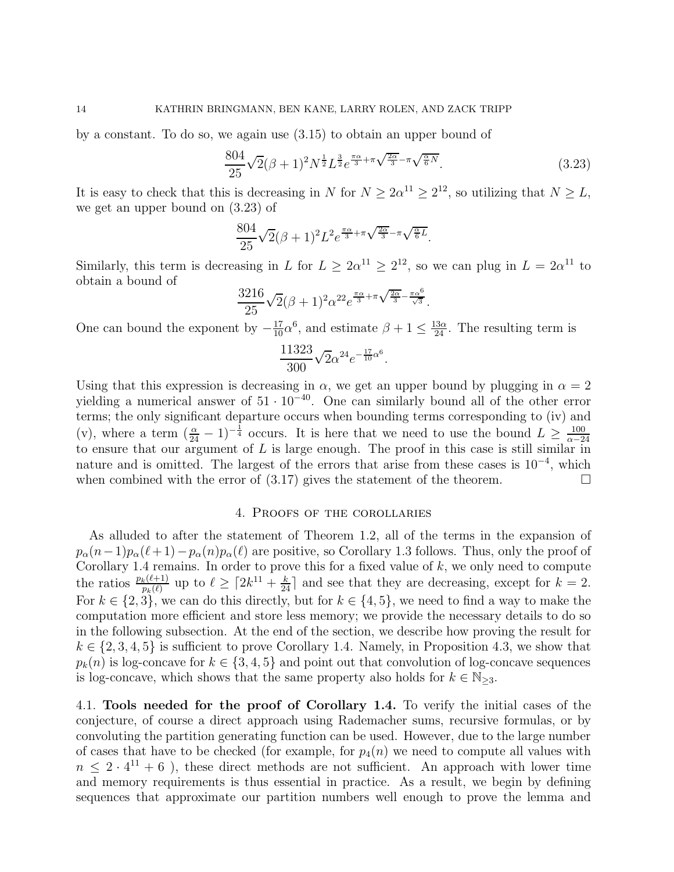by a constant. To do so, we again use (3.15) to obtain an upper bound of

$$
\frac{804}{25}\sqrt{2}(\beta+1)^2N^{\frac{1}{2}}L^{\frac{3}{2}}e^{\frac{\pi\alpha}{3}+\pi\sqrt{\frac{2\alpha}{3}}-\pi\sqrt{\frac{\alpha}{6}N}}.\tag{3.23}
$$

It is easy to check that this is decreasing in N for  $N \geq 2\alpha^{11} \geq 2^{12}$ , so utilizing that  $N \geq L$ , we get an upper bound on (3.23) of

$$
\frac{804}{25}\sqrt{2}(\beta+1)^2L^2e^{\frac{\pi\alpha}{3}+\pi\sqrt{\frac{2\alpha}{3}}-\pi\sqrt{\frac{\alpha}{6}L}}.
$$

Similarly, this term is decreasing in L for  $L \geq 2\alpha^{11} \geq 2^{12}$ , so we can plug in  $L = 2\alpha^{11}$  to obtain a bound of

$$
\frac{3216}{25}\sqrt{2}(\beta+1)^2\alpha^{22}e^{\frac{\pi\alpha}{3}+\pi\sqrt{\frac{2\alpha}{3}}-\frac{\pi\alpha^6}{\sqrt{3}}}.
$$

One can bound the exponent by  $-\frac{17}{10}\alpha^6$ , and estimate  $\beta + 1 \le \frac{13\alpha}{24}$ . The resulting term is

$$
\frac{11323}{300}\sqrt{2}\alpha^{24}e^{-\frac{17}{10}\alpha^6}.
$$

Using that this expression is decreasing in  $\alpha$ , we get an upper bound by plugging in  $\alpha = 2$ yielding a numerical answer of  $51 \cdot 10^{-40}$ . One can similarly bound all of the other error terms; the only significant departure occurs when bounding terms corresponding to (iv) and (v), where a term  $(\frac{\alpha}{24} - 1)^{-\frac{1}{4}}$  occurs. It is here that we need to use the bound  $L \ge \frac{100}{\alpha - 2}$  $\alpha$ <sup>-24</sup> to ensure that our argument of  $L$  is large enough. The proof in this case is still similar in nature and is omitted. The largest of the errors that arise from these cases is 10<sup>-4</sup>, which when combined with the error of  $(3.17)$  gives the statement of the theorem.

#### 4. Proofs of the corollaries

As alluded to after the statement of Theorem 1.2, all of the terms in the expansion of  $p_{\alpha}(n-1)p_{\alpha}(\ell+1)-p_{\alpha}(n)p_{\alpha}(\ell)$  are positive, so Corollary 1.3 follows. Thus, only the proof of Corollary 1.4 remains. In order to prove this for a fixed value of  $k$ , we only need to compute the ratios  $\frac{p_k(\ell+1)}{p_k(\ell)}$  up to  $\ell \geq \lceil 2k^{11} + \frac{k}{24} \rceil$  and see that they are decreasing, except for  $k=2$ . For  $k \in \{2, 3\}$ , we can do this directly, but for  $k \in \{4, 5\}$ , we need to find a way to make the computation more efficient and store less memory; we provide the necessary details to do so in the following subsection. At the end of the section, we describe how proving the result for  $k \in \{2, 3, 4, 5\}$  is sufficient to prove Corollary 1.4. Namely, in Proposition 4.3, we show that  $p_k(n)$  is log-concave for  $k \in \{3, 4, 5\}$  and point out that convolution of log-concave sequences is log-concave, which shows that the same property also holds for  $k \in \mathbb{N}_{\geq 3}$ .

4.1. Tools needed for the proof of Corollary 1.4. To verify the initial cases of the conjecture, of course a direct approach using Rademacher sums, recursive formulas, or by convoluting the partition generating function can be used. However, due to the large number of cases that have to be checked (for example, for  $p_4(n)$ ) we need to compute all values with  $n \leq 2 \cdot 4^{11} + 6$ , these direct methods are not sufficient. An approach with lower time and memory requirements is thus essential in practice. As a result, we begin by defining sequences that approximate our partition numbers well enough to prove the lemma and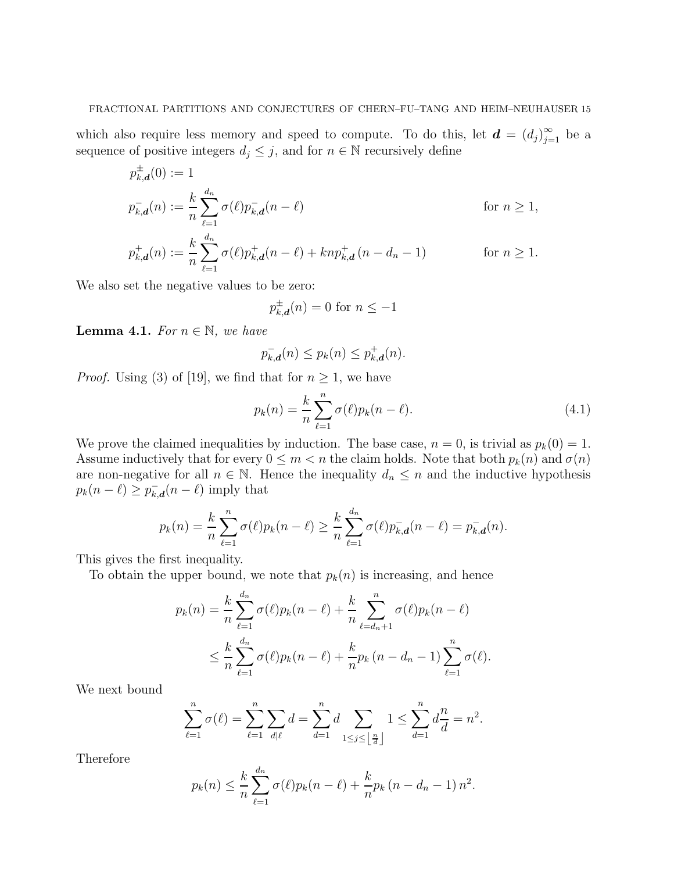which also require less memory and speed to compute. To do this, let  $\boldsymbol{d} = (d_j)_{j=1}^{\infty}$  be a sequence of positive integers  $d_j\leq j,$  and for  $n\in\mathbb{N}$  recursively define

$$
p_{k,d}^{+}(0) := 1
$$
  
\n
$$
p_{k,d}^{-}(n) := \frac{k}{n} \sum_{\ell=1}^{d_n} \sigma(\ell) p_{k,d}^{-}(n - \ell)
$$
 for  $n \ge 1$ ,  
\n
$$
p_{k,d}^{+}(n) := \frac{k}{n} \sum_{\ell=1}^{d_n} \sigma(\ell) p_{k,d}^{+}(n - \ell) + knp_{k,d}^{+}(n - d_n - 1)
$$
 for  $n \ge 1$ .

We also set the negative values to be zero:

$$
p_{k,\mathbf{d}}^{\pm}(n) = 0 \text{ for } n \le -1
$$

**Lemma 4.1.** For  $n \in \mathbb{N}$ , we have

$$
p_{k,\mathbf{d}}^-(n) \le p_k(n) \le p_{k,\mathbf{d}}^+(n).
$$

*Proof.* Using (3) of [19], we find that for  $n \geq 1$ , we have

$$
p_k(n) = \frac{k}{n} \sum_{\ell=1}^n \sigma(\ell) p_k(n-\ell).
$$
 (4.1)

We prove the claimed inequalities by induction. The base case,  $n = 0$ , is trivial as  $p_k(0) = 1$ . Assume inductively that for every  $0 \leq m < n$  the claim holds. Note that both  $p_k(n)$  and  $\sigma(n)$ are non-negative for all  $n \in \mathbb{N}$ . Hence the inequality  $d_n \leq n$  and the inductive hypothesis  $p_k(n-\ell) \geq p_{k,d}^-(n-\ell)$  imply that

$$
p_k(n) = \frac{k}{n} \sum_{\ell=1}^n \sigma(\ell) p_k(n-\ell) \ge \frac{k}{n} \sum_{\ell=1}^{d_n} \sigma(\ell) p_{k,d}^-(n-\ell) = p_{k,d}^-(n).
$$

This gives the first inequality.

To obtain the upper bound, we note that  $p_k(n)$  is increasing, and hence

$$
p_k(n) = \frac{k}{n} \sum_{\ell=1}^{d_n} \sigma(\ell) p_k(n-\ell) + \frac{k}{n} \sum_{\ell=d_n+1}^{n} \sigma(\ell) p_k(n-\ell) \leq \frac{k}{n} \sum_{\ell=1}^{d_n} \sigma(\ell) p_k(n-\ell) + \frac{k}{n} p_k(n-d_n-1) \sum_{\ell=1}^{n} \sigma(\ell).
$$

We next bound

$$
\sum_{\ell=1}^n \sigma(\ell) = \sum_{\ell=1}^n \sum_{d|\ell} d = \sum_{d=1}^n d \sum_{1 \le j \le \lfloor \frac{n}{d} \rfloor} 1 \le \sum_{d=1}^n d \frac{n}{d} = n^2.
$$

Therefore

$$
p_k(n) \leq \frac{k}{n} \sum_{\ell=1}^{d_n} \sigma(\ell) p_k(n-\ell) + \frac{k}{n} p_k(n-d_n-1) n^2.
$$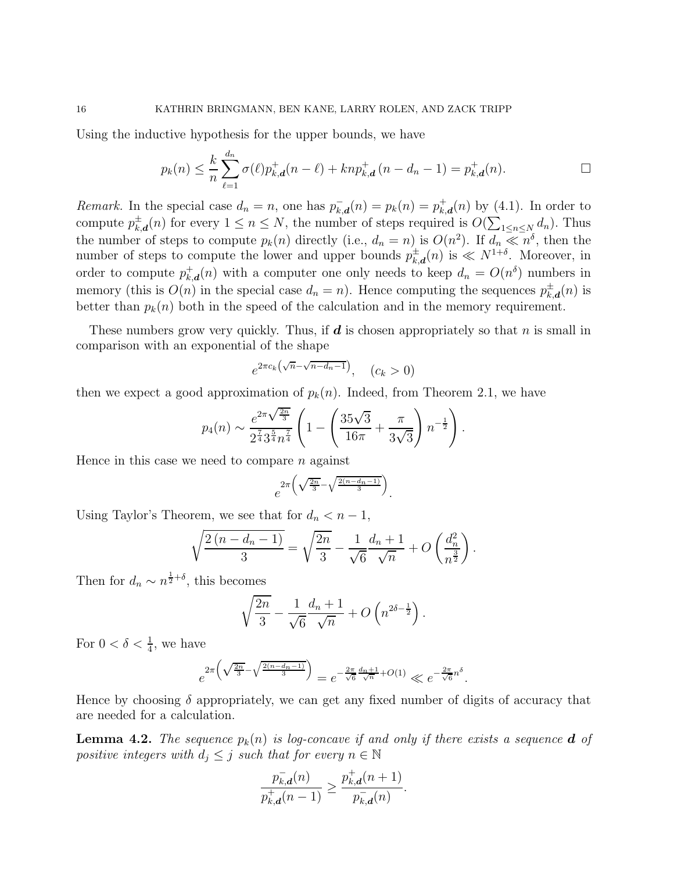Using the inductive hypothesis for the upper bounds, we have

$$
p_k(n) \leq \frac{k}{n} \sum_{\ell=1}^{d_n} \sigma(\ell) p_{k,d}^+(n-\ell) + knp_{k,d}^+(n-d_n-1) = p_{k,d}^+(n).
$$

Remark. In the special case  $d_n = n$ , one has  $p_{k,d}^{-}(n) = p_k(n) = p_{k,d}^{+}(n)$  by (4.1). In order to compute  $p_{k,d}^{\pm}(n)$  for every  $1 \leq n \leq N$ , the number of steps required is  $O(\sum_{1 \leq n \leq N} d_n)$ . Thus the number of steps to compute  $p_k(n)$  directly (i.e.,  $d_n = n$ ) is  $O(n^2)$ . If  $d_n \ll n^{\delta}$ , then the number of steps to compute the lower and upper bounds  $p_{k,d}^{\pm}(n)$  is  $\ll N^{1+\delta}$ . Moreover, in order to compute  $p_{k,d}^+(n)$  with a computer one only needs to keep  $d_n = O(n^{\delta})$  numbers in memory (this is  $O(n)$  in the special case  $d_n = n$ ). Hence computing the sequences  $p_{k,\boldsymbol{d}}^{\pm}(n)$  is better than  $p_k(n)$  both in the speed of the calculation and in the memory requirement.

These numbers grow very quickly. Thus, if  $d$  is chosen appropriately so that n is small in comparison with an exponential of the shape

$$
e^{2\pi c_k(\sqrt{n}-\sqrt{n-d_n-1})}, \quad (c_k > 0)
$$

then we expect a good approximation of  $p_k(n)$ . Indeed, from Theorem 2.1, we have

$$
p_4(n) \sim \frac{e^{2\pi\sqrt{\frac{2n}{3}}}}{2^{\frac{7}{4}} 3^{\frac{5}{4}} n^{\frac{7}{4}}} \left(1 - \left(\frac{35\sqrt{3}}{16\pi} + \frac{\pi}{3\sqrt{3}}\right) n^{-\frac{1}{2}}\right).
$$

Hence in this case we need to compare  $n$  against

$$
e^{2\pi\left(\sqrt{\frac{2n}{3}}-\sqrt{\frac{2(n-dn-1)}{3}}\right)}.
$$

Using Taylor's Theorem, we see that for  $d_n < n-1$ ,

$$
\sqrt{\frac{2(n-d_n-1)}{3}} = \sqrt{\frac{2n}{3}} - \frac{1}{\sqrt{6}} \frac{d_n+1}{\sqrt{n}} + O\left(\frac{d_n^2}{n^{\frac{3}{2}}}\right).
$$

Then for  $d_n \sim n^{\frac{1}{2}+\delta}$ , this becomes

$$
\sqrt{\frac{2n}{3}} - \frac{1}{\sqrt{6}} \frac{d_n + 1}{\sqrt{n}} + O\left(n^{2\delta - \frac{1}{2}}\right).
$$

For  $0 < \delta < \frac{1}{4}$ , we have

$$
e^{2\pi\left(\sqrt{\frac{2n}{3}}-\sqrt{\frac{2(n-d_n-1)}{3}}\right)} = e^{-\frac{2\pi}{\sqrt{6}}\frac{d_n+1}{\sqrt{n}}+O(1)} \ll e^{-\frac{2\pi}{\sqrt{6}}n^{\delta}}.
$$

Hence by choosing  $\delta$  appropriately, we can get any fixed number of digits of accuracy that are needed for a calculation.

**Lemma 4.2.** The sequence  $p_k(n)$  is log-concave if and only if there exists a sequence **d** of positive integers with  $d_j \leq j$  such that for every  $n \in \mathbb{N}$ 

$$
\frac{p_{k,d}^-(n)}{p_{k,d}^+(n-1)} \ge \frac{p_{k,d}^+(n+1)}{p_{k,d}^-(n)}.
$$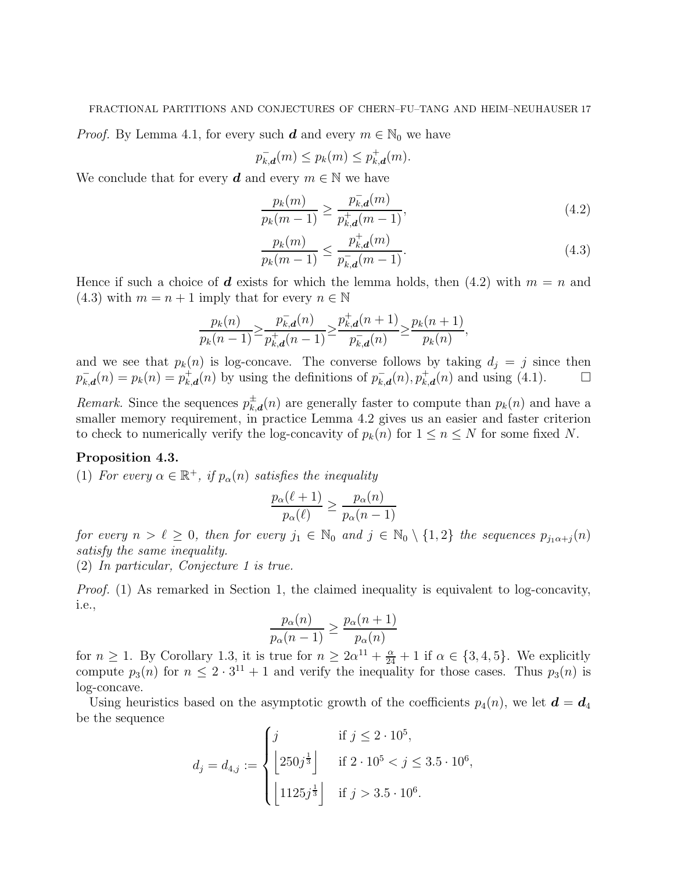*Proof.* By Lemma 4.1, for every such **d** and every  $m \in \mathbb{N}_0$  we have

$$
p_{k,\mathbf{d}}^-(m) \le p_k(m) \le p_{k,\mathbf{d}}^+(m).
$$

We conclude that for every  $d$  and every  $m \in \mathbb{N}$  we have

$$
\frac{p_k(m)}{p_k(m-1)} \ge \frac{p_{k,d}^-(m)}{p_{k,d}^+(m-1)},
$$
\n(4.2)

$$
\frac{p_k(m)}{p_k(m-1)} \le \frac{p_{k,d}^+(m)}{p_{k,d}^-(m-1)}.\tag{4.3}
$$

Hence if such a choice of d exists for which the lemma holds, then  $(4.2)$  with  $m = n$  and (4.3) with  $m = n + 1$  imply that for every  $n \in \mathbb{N}$ 

$$
\frac{p_k(n)}{p_k(n-1)} \ge \frac{p_{k,d}^-(n)}{p_{k,d}^+(n-1)} \ge \frac{p_{k,d}^+(n+1)}{p_{k,d}^-(n)} \ge \frac{p_k(n+1)}{p_k(n)},
$$

and we see that  $p_k(n)$  is log-concave. The converse follows by taking  $d_j = j$  since then  $p_{k,\boldsymbol{d}}^-(n) = p_{k}(n) = p_{k,\boldsymbol{d}}^+(n)$  by using the definitions of  $p_{k,\boldsymbol{d}}^-(n)$ ,  $p_{k,\boldsymbol{d}}^+(n)$  and using (4.1).

Remark. Since the sequences  $p_{k,d}^{\pm}(n)$  are generally faster to compute than  $p_k(n)$  and have a smaller memory requirement, in practice Lemma 4.2 gives us an easier and faster criterion to check to numerically verify the log-concavity of  $p_k(n)$  for  $1 \leq n \leq N$  for some fixed N.

#### Proposition 4.3.

(1) For every  $\alpha \in \mathbb{R}^+$ , if  $p_\alpha(n)$  satisfies the inequality

$$
\frac{p_{\alpha}(\ell+1)}{p_{\alpha}(\ell)} \ge \frac{p_{\alpha}(n)}{p_{\alpha}(n-1)}
$$

for every  $n > \ell \geq 0$ , then for every  $j_1 \in \mathbb{N}_0$  and  $j \in \mathbb{N}_0 \setminus \{1,2\}$  the sequences  $p_{j_1\alpha+j}(n)$ satisfy the same inequality.

(2) In particular, Conjecture 1 is true.

Proof. (1) As remarked in Section 1, the claimed inequality is equivalent to log-concavity, i.e.,

$$
\frac{p_{\alpha}(n)}{p_{\alpha}(n-1)} \ge \frac{p_{\alpha}(n+1)}{p_{\alpha}(n)}
$$

for  $n \geq 1$ . By Corollary 1.3, it is true for  $n \geq 2\alpha^{11} + \frac{\alpha}{24} + 1$  if  $\alpha \in \{3, 4, 5\}$ . We explicitly compute  $p_3(n)$  for  $n \leq 2 \cdot 3^{11} + 1$  and verify the inequality for those cases. Thus  $p_3(n)$  is log-concave.

Using heuristics based on the asymptotic growth of the coefficients  $p_4(n)$ , we let  $\mathbf{d} = \mathbf{d}_4$ be the sequence

$$
d_j = d_{4,j} := \begin{cases} j & \text{if } j \leq 2 \cdot 10^5, \\ \left\lfloor 250j^{\frac{1}{3}} \right\rfloor & \text{if } 2 \cdot 10^5 < j \leq 3.5 \cdot 10^6, \\ \left\lfloor 1125j^{\frac{1}{3}} \right\rfloor & \text{if } j > 3.5 \cdot 10^6. \end{cases}
$$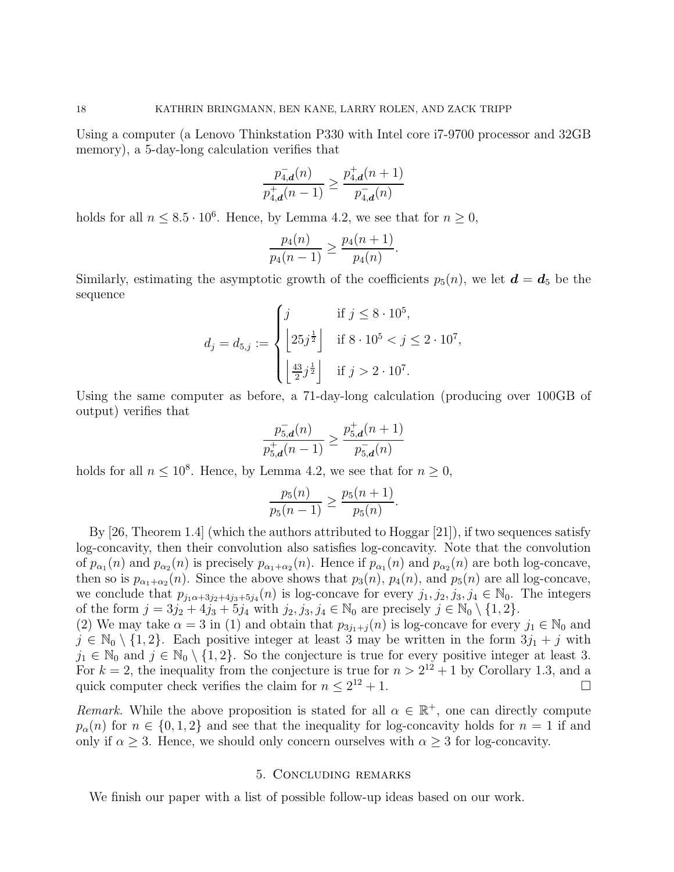Using a computer (a Lenovo Thinkstation P330 with Intel core i7-9700 processor and 32GB memory), a 5-day-long calculation verifies that

$$
\frac{p^-_{4,\boldsymbol{d}}(n)}{p^+_{4,\boldsymbol{d}}(n-1)} \geq \frac{p^+_{4,\boldsymbol{d}}(n+1)}{p^-_{4,\boldsymbol{d}}(n)}
$$

holds for all  $n \leq 8.5 \cdot 10^6$ . Hence, by Lemma 4.2, we see that for  $n \geq 0$ ,

$$
\frac{p_4(n)}{p_4(n-1)} \ge \frac{p_4(n+1)}{p_4(n)}.
$$

Similarly, estimating the asymptotic growth of the coefficients  $p_5(n)$ , we let  $\mathbf{d} = \mathbf{d}_5$  be the sequence

$$
d_j = d_{5,j} := \begin{cases} j & \text{if } j \leq 8 \cdot 10^5, \\ \left\lfloor 25j^{\frac{1}{2}} \right\rfloor & \text{if } 8 \cdot 10^5 < j \leq 2 \cdot 10^7, \\ \left\lfloor \frac{43}{2}j^{\frac{1}{2}} \right\rfloor & \text{if } j > 2 \cdot 10^7. \end{cases}
$$

Using the same computer as before, a 71-day-long calculation (producing over 100GB of output) verifies that

$$
\frac{p_{5,d}^-(n)}{p_{5,d}^+(n-1)} \ge \frac{p_{5,d}^+(n+1)}{p_{5,d}^-(n)}
$$

holds for all  $n \leq 10^8$ . Hence, by Lemma 4.2, we see that for  $n \geq 0$ ,

$$
\frac{p_5(n)}{p_5(n-1)} \ge \frac{p_5(n+1)}{p_5(n)}.
$$

By  $[26,$  Theorem 1.4] (which the authors attributed to Hoggar  $[21]$ ), if two sequences satisfy log-concavity, then their convolution also satisfies log-concavity. Note that the convolution of  $p_{\alpha_1}(n)$  and  $p_{\alpha_2}(n)$  is precisely  $p_{\alpha_1+\alpha_2}(n)$ . Hence if  $p_{\alpha_1}(n)$  and  $p_{\alpha_2}(n)$  are both log-concave, then so is  $p_{\alpha_1+\alpha_2}(n)$ . Since the above shows that  $p_3(n)$ ,  $p_4(n)$ , and  $p_5(n)$  are all log-concave, we conclude that  $p_{j_1\alpha+3j_2+4j_3+5j_4}(n)$  is log-concave for every  $j_1, j_2, j_3, j_4 \in \mathbb{N}_0$ . The integers of the form  $j = 3j_2 + 4j_3 + 5j_4$  with  $j_2, j_3, j_4 \in \mathbb{N}_0$  are precisely  $j \in \mathbb{N}_0 \setminus \{1, 2\}.$ 

(2) We may take  $\alpha = 3$  in (1) and obtain that  $p_{3j_1+j}(n)$  is log-concave for every  $j_1 \in \mathbb{N}_0$  and  $j \in \mathbb{N}_0 \setminus \{1,2\}$ . Each positive integer at least 3 may be written in the form  $3j_1 + j$  with  $j_1 \in \mathbb{N}_0$  and  $j \in \mathbb{N}_0 \setminus \{1,2\}$ . So the conjecture is true for every positive integer at least 3. For  $k = 2$ , the inequality from the conjecture is true for  $n > 2^{12} + 1$  by Corollary 1.3, and a quick computer check verifies the claim for  $n \leq 2^{12} + 1$ .

Remark. While the above proposition is stated for all  $\alpha \in \mathbb{R}^+$ , one can directly compute  $p_{\alpha}(n)$  for  $n \in \{0,1,2\}$  and see that the inequality for log-concavity holds for  $n=1$  if and only if  $\alpha \geq 3$ . Hence, we should only concern ourselves with  $\alpha \geq 3$  for log-concavity.

## 5. Concluding remarks

We finish our paper with a list of possible follow-up ideas based on our work.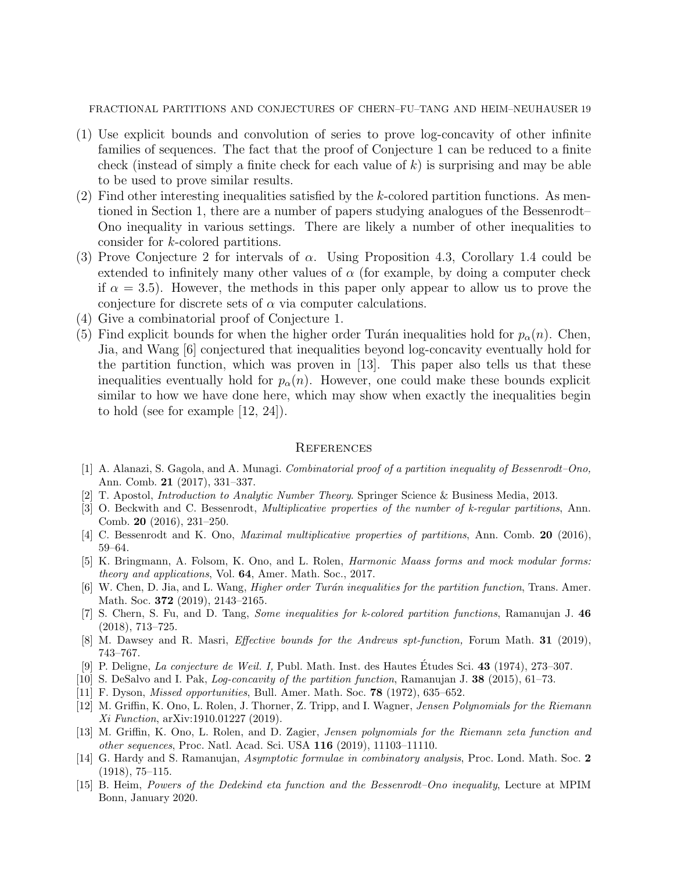- (1) Use explicit bounds and convolution of series to prove log-concavity of other infinite families of sequences. The fact that the proof of Conjecture 1 can be reduced to a finite check (instead of simply a finite check for each value of  $k$ ) is surprising and may be able to be used to prove similar results.
- $(2)$  Find other interesting inequalities satisfied by the k-colored partition functions. As mentioned in Section 1, there are a number of papers studying analogues of the Bessenrodt– Ono inequality in various settings. There are likely a number of other inequalities to consider for k-colored partitions.
- (3) Prove Conjecture 2 for intervals of  $\alpha$ . Using Proposition 4.3, Corollary 1.4 could be extended to infinitely many other values of  $\alpha$  (for example, by doing a computer check if  $\alpha = 3.5$ ). However, the methods in this paper only appear to allow us to prove the conjecture for discrete sets of  $\alpha$  via computer calculations.
- (4) Give a combinatorial proof of Conjecture 1.
- (5) Find explicit bounds for when the higher order Turán inequalities hold for  $p_{\alpha}(n)$ . Chen, Jia, and Wang [6] conjectured that inequalities beyond log-concavity eventually hold for the partition function, which was proven in [13]. This paper also tells us that these inequalities eventually hold for  $p_{\alpha}(n)$ . However, one could make these bounds explicit similar to how we have done here, which may show when exactly the inequalities begin to hold (see for example [12, 24]).

#### **REFERENCES**

- [1] A. Alanazi, S. Gagola, and A. Munagi. Combinatorial proof of a partition inequality of Bessenrodt–Ono, Ann. Comb. 21 (2017), 331–337.
- [2] T. Apostol, Introduction to Analytic Number Theory. Springer Science & Business Media, 2013.
- [3] O. Beckwith and C. Bessenrodt, Multiplicative properties of the number of k-regular partitions, Ann. Comb. 20 (2016), 231–250.
- [4] C. Bessenrodt and K. Ono, Maximal multiplicative properties of partitions, Ann. Comb. 20 (2016), 59–64.
- [5] K. Bringmann, A. Folsom, K. Ono, and L. Rolen, Harmonic Maass forms and mock modular forms: theory and applications, Vol. 64, Amer. Math. Soc., 2017.
- [6] W. Chen, D. Jia, and L. Wang, *Higher order Turán inequalities for the partition function*, Trans. Amer. Math. Soc. **372** (2019), 2143–2165.
- [7] S. Chern, S. Fu, and D. Tang, Some inequalities for k-colored partition functions, Ramanujan J. 46 (2018), 713–725.
- [8] M. Dawsey and R. Masri, Effective bounds for the Andrews spt-function, Forum Math. 31 (2019), 743–767.
- [9] P. Deligne, La conjecture de Weil. I, Publ. Math. Inst. des Hautes Études Sci. 43 (1974), 273–307.
- [10] S. DeSalvo and I. Pak, Log-concavity of the partition function, Ramanujan J. 38 (2015), 61–73.
- [11] F. Dyson, *Missed opportunities*, Bull. Amer. Math. Soc. **78** (1972), 635–652.
- [12] M. Griffin, K. Ono, L. Rolen, J. Thorner, Z. Tripp, and I. Wagner, Jensen Polynomials for the Riemann Xi Function, arXiv:1910.01227 (2019).
- [13] M. Griffin, K. Ono, L. Rolen, and D. Zagier, Jensen polynomials for the Riemann zeta function and other sequences, Proc. Natl. Acad. Sci. USA 116 (2019), 11103–11110.
- [14] G. Hardy and S. Ramanujan, Asymptotic formulae in combinatory analysis, Proc. Lond. Math. Soc. 2 (1918), 75–115.
- [15] B. Heim, Powers of the Dedekind eta function and the Bessenrodt–Ono inequality, Lecture at MPIM Bonn, January 2020.